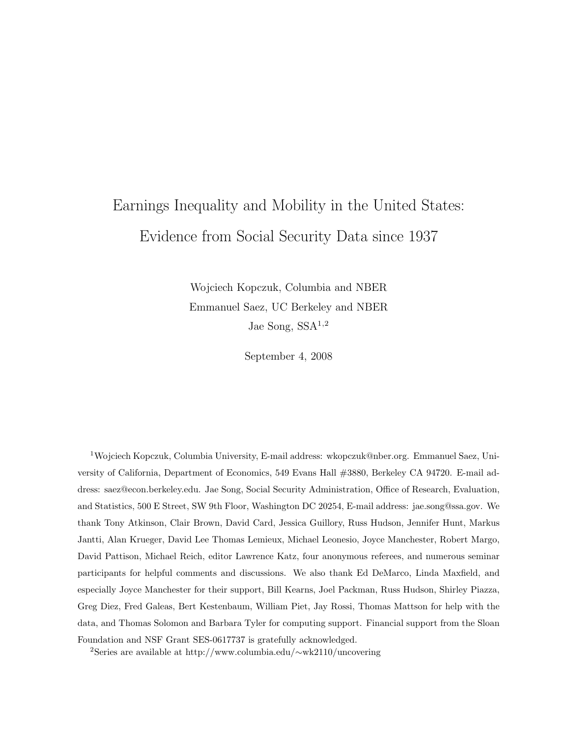# Earnings Inequality and Mobility in the United States: Evidence from Social Security Data since 1937

Wojciech Kopczuk, Columbia and NBER Emmanuel Saez, UC Berkeley and NBER Jae Song, SSA1,2

September 4, 2008

<sup>1</sup>Wojciech Kopczuk, Columbia University, E-mail address: wkopczuk@nber.org. Emmanuel Saez, University of California, Department of Economics, 549 Evans Hall #3880, Berkeley CA 94720. E-mail address: saez@econ.berkeley.edu. Jae Song, Social Security Administration, Office of Research, Evaluation, and Statistics, 500 E Street, SW 9th Floor, Washington DC 20254, E-mail address: jae.song@ssa.gov. We thank Tony Atkinson, Clair Brown, David Card, Jessica Guillory, Russ Hudson, Jennifer Hunt, Markus Jantti, Alan Krueger, David Lee Thomas Lemieux, Michael Leonesio, Joyce Manchester, Robert Margo, David Pattison, Michael Reich, editor Lawrence Katz, four anonymous referees, and numerous seminar participants for helpful comments and discussions. We also thank Ed DeMarco, Linda Maxfield, and especially Joyce Manchester for their support, Bill Kearns, Joel Packman, Russ Hudson, Shirley Piazza, Greg Diez, Fred Galeas, Bert Kestenbaum, William Piet, Jay Rossi, Thomas Mattson for help with the data, and Thomas Solomon and Barbara Tyler for computing support. Financial support from the Sloan Foundation and NSF Grant SES-0617737 is gratefully acknowledged.

<sup>2</sup>Series are available at http://www.columbia.edu/∼wk2110/uncovering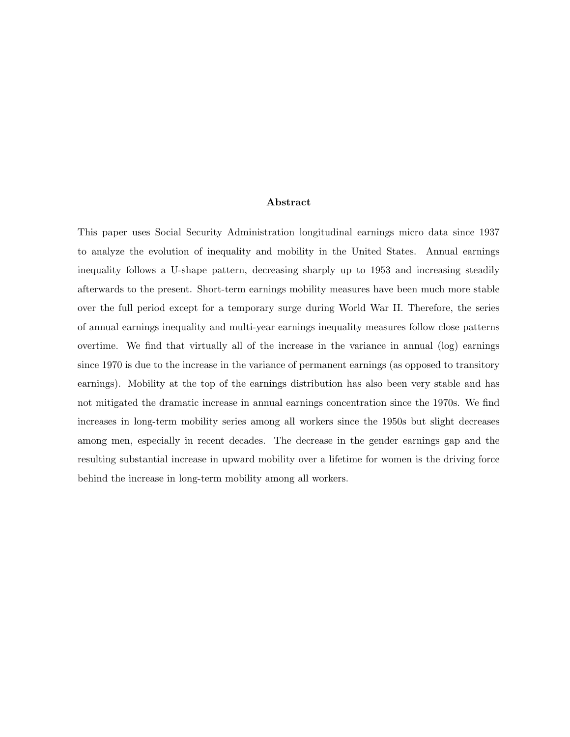### Abstract

This paper uses Social Security Administration longitudinal earnings micro data since 1937 to analyze the evolution of inequality and mobility in the United States. Annual earnings inequality follows a U-shape pattern, decreasing sharply up to 1953 and increasing steadily afterwards to the present. Short-term earnings mobility measures have been much more stable over the full period except for a temporary surge during World War II. Therefore, the series of annual earnings inequality and multi-year earnings inequality measures follow close patterns overtime. We find that virtually all of the increase in the variance in annual (log) earnings since 1970 is due to the increase in the variance of permanent earnings (as opposed to transitory earnings). Mobility at the top of the earnings distribution has also been very stable and has not mitigated the dramatic increase in annual earnings concentration since the 1970s. We find increases in long-term mobility series among all workers since the 1950s but slight decreases among men, especially in recent decades. The decrease in the gender earnings gap and the resulting substantial increase in upward mobility over a lifetime for women is the driving force behind the increase in long-term mobility among all workers.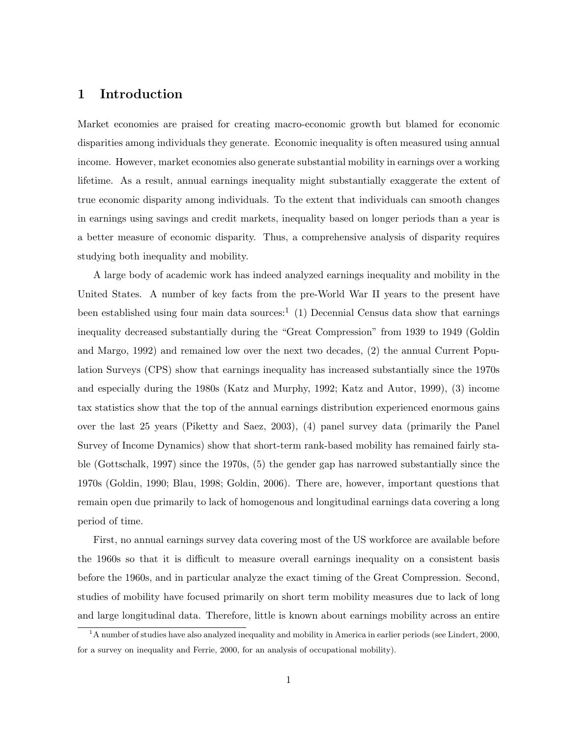### 1 Introduction

Market economies are praised for creating macro-economic growth but blamed for economic disparities among individuals they generate. Economic inequality is often measured using annual income. However, market economies also generate substantial mobility in earnings over a working lifetime. As a result, annual earnings inequality might substantially exaggerate the extent of true economic disparity among individuals. To the extent that individuals can smooth changes in earnings using savings and credit markets, inequality based on longer periods than a year is a better measure of economic disparity. Thus, a comprehensive analysis of disparity requires studying both inequality and mobility.

A large body of academic work has indeed analyzed earnings inequality and mobility in the United States. A number of key facts from the pre-World War II years to the present have been established using four main data sources:<sup>1</sup> (1) Decennial Census data show that earnings inequality decreased substantially during the "Great Compression" from 1939 to 1949 (Goldin and Margo, 1992) and remained low over the next two decades, (2) the annual Current Population Surveys (CPS) show that earnings inequality has increased substantially since the 1970s and especially during the 1980s (Katz and Murphy, 1992; Katz and Autor, 1999), (3) income tax statistics show that the top of the annual earnings distribution experienced enormous gains over the last 25 years (Piketty and Saez, 2003), (4) panel survey data (primarily the Panel Survey of Income Dynamics) show that short-term rank-based mobility has remained fairly stable (Gottschalk, 1997) since the 1970s, (5) the gender gap has narrowed substantially since the 1970s (Goldin, 1990; Blau, 1998; Goldin, 2006). There are, however, important questions that remain open due primarily to lack of homogenous and longitudinal earnings data covering a long period of time.

First, no annual earnings survey data covering most of the US workforce are available before the 1960s so that it is difficult to measure overall earnings inequality on a consistent basis before the 1960s, and in particular analyze the exact timing of the Great Compression. Second, studies of mobility have focused primarily on short term mobility measures due to lack of long and large longitudinal data. Therefore, little is known about earnings mobility across an entire

 $1<sup>1</sup>$  A number of studies have also analyzed inequality and mobility in America in earlier periods (see Lindert, 2000, for a survey on inequality and Ferrie, 2000, for an analysis of occupational mobility).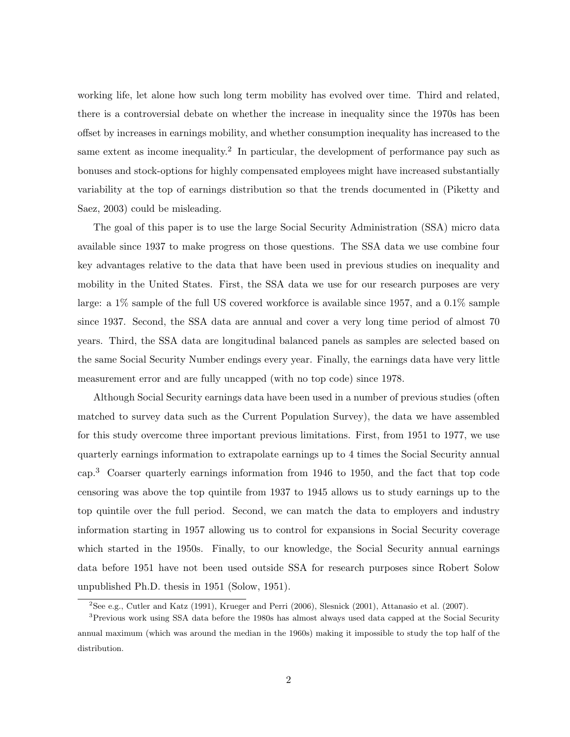working life, let alone how such long term mobility has evolved over time. Third and related, there is a controversial debate on whether the increase in inequality since the 1970s has been offset by increases in earnings mobility, and whether consumption inequality has increased to the same extent as income inequality.<sup>2</sup> In particular, the development of performance pay such as bonuses and stock-options for highly compensated employees might have increased substantially variability at the top of earnings distribution so that the trends documented in (Piketty and Saez, 2003) could be misleading.

The goal of this paper is to use the large Social Security Administration (SSA) micro data available since 1937 to make progress on those questions. The SSA data we use combine four key advantages relative to the data that have been used in previous studies on inequality and mobility in the United States. First, the SSA data we use for our research purposes are very large: a  $1\%$  sample of the full US covered workforce is available since 1957, and a  $0.1\%$  sample since 1937. Second, the SSA data are annual and cover a very long time period of almost 70 years. Third, the SSA data are longitudinal balanced panels as samples are selected based on the same Social Security Number endings every year. Finally, the earnings data have very little measurement error and are fully uncapped (with no top code) since 1978.

Although Social Security earnings data have been used in a number of previous studies (often matched to survey data such as the Current Population Survey), the data we have assembled for this study overcome three important previous limitations. First, from 1951 to 1977, we use quarterly earnings information to extrapolate earnings up to 4 times the Social Security annual cap.<sup>3</sup> Coarser quarterly earnings information from 1946 to 1950, and the fact that top code censoring was above the top quintile from 1937 to 1945 allows us to study earnings up to the top quintile over the full period. Second, we can match the data to employers and industry information starting in 1957 allowing us to control for expansions in Social Security coverage which started in the 1950s. Finally, to our knowledge, the Social Security annual earnings data before 1951 have not been used outside SSA for research purposes since Robert Solow unpublished Ph.D. thesis in 1951 (Solow, 1951).

<sup>2</sup>See e.g., Cutler and Katz (1991), Krueger and Perri (2006), Slesnick (2001), Attanasio et al. (2007).

<sup>&</sup>lt;sup>3</sup>Previous work using SSA data before the 1980s has almost always used data capped at the Social Security annual maximum (which was around the median in the 1960s) making it impossible to study the top half of the distribution.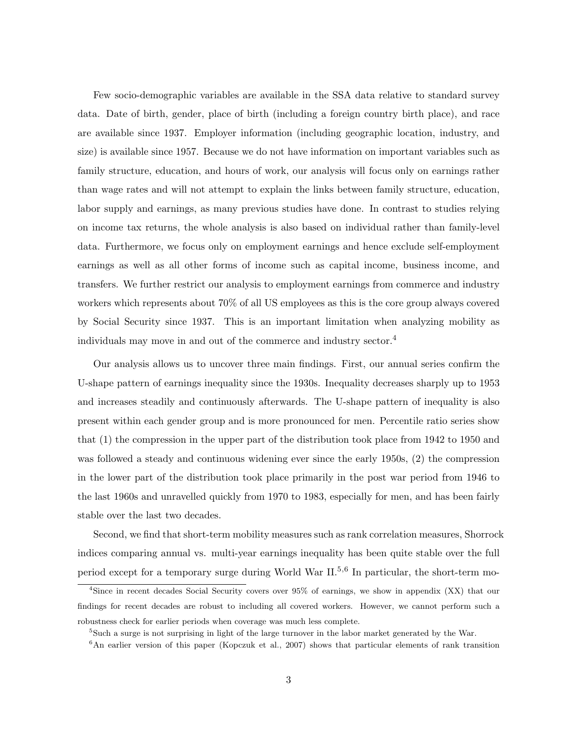Few socio-demographic variables are available in the SSA data relative to standard survey data. Date of birth, gender, place of birth (including a foreign country birth place), and race are available since 1937. Employer information (including geographic location, industry, and size) is available since 1957. Because we do not have information on important variables such as family structure, education, and hours of work, our analysis will focus only on earnings rather than wage rates and will not attempt to explain the links between family structure, education, labor supply and earnings, as many previous studies have done. In contrast to studies relying on income tax returns, the whole analysis is also based on individual rather than family-level data. Furthermore, we focus only on employment earnings and hence exclude self-employment earnings as well as all other forms of income such as capital income, business income, and transfers. We further restrict our analysis to employment earnings from commerce and industry workers which represents about 70% of all US employees as this is the core group always covered by Social Security since 1937. This is an important limitation when analyzing mobility as individuals may move in and out of the commerce and industry sector.<sup>4</sup>

Our analysis allows us to uncover three main findings. First, our annual series confirm the U-shape pattern of earnings inequality since the 1930s. Inequality decreases sharply up to 1953 and increases steadily and continuously afterwards. The U-shape pattern of inequality is also present within each gender group and is more pronounced for men. Percentile ratio series show that (1) the compression in the upper part of the distribution took place from 1942 to 1950 and was followed a steady and continuous widening ever since the early 1950s, (2) the compression in the lower part of the distribution took place primarily in the post war period from 1946 to the last 1960s and unravelled quickly from 1970 to 1983, especially for men, and has been fairly stable over the last two decades.

Second, we find that short-term mobility measures such as rank correlation measures, Shorrock indices comparing annual vs. multi-year earnings inequality has been quite stable over the full period except for a temporary surge during World War  $II^{5,6}$  In particular, the short-term mo-

<sup>4</sup>Since in recent decades Social Security covers over 95% of earnings, we show in appendix (XX) that our findings for recent decades are robust to including all covered workers. However, we cannot perform such a robustness check for earlier periods when coverage was much less complete.

<sup>5</sup>Such a surge is not surprising in light of the large turnover in the labor market generated by the War.

 $6$ An earlier version of this paper (Kopczuk et al., 2007) shows that particular elements of rank transition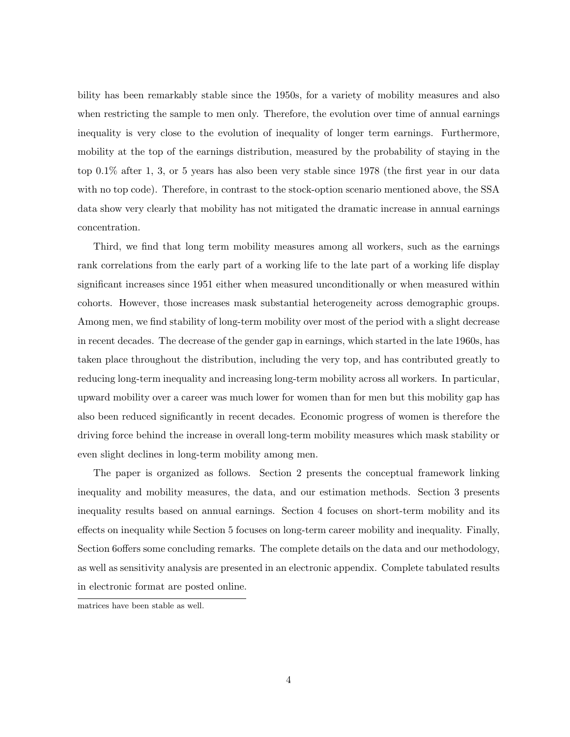bility has been remarkably stable since the 1950s, for a variety of mobility measures and also when restricting the sample to men only. Therefore, the evolution over time of annual earnings inequality is very close to the evolution of inequality of longer term earnings. Furthermore, mobility at the top of the earnings distribution, measured by the probability of staying in the top 0.1% after 1, 3, or 5 years has also been very stable since 1978 (the first year in our data with no top code). Therefore, in contrast to the stock-option scenario mentioned above, the SSA data show very clearly that mobility has not mitigated the dramatic increase in annual earnings concentration.

Third, we find that long term mobility measures among all workers, such as the earnings rank correlations from the early part of a working life to the late part of a working life display significant increases since 1951 either when measured unconditionally or when measured within cohorts. However, those increases mask substantial heterogeneity across demographic groups. Among men, we find stability of long-term mobility over most of the period with a slight decrease in recent decades. The decrease of the gender gap in earnings, which started in the late 1960s, has taken place throughout the distribution, including the very top, and has contributed greatly to reducing long-term inequality and increasing long-term mobility across all workers. In particular, upward mobility over a career was much lower for women than for men but this mobility gap has also been reduced significantly in recent decades. Economic progress of women is therefore the driving force behind the increase in overall long-term mobility measures which mask stability or even slight declines in long-term mobility among men.

The paper is organized as follows. Section 2 presents the conceptual framework linking inequality and mobility measures, the data, and our estimation methods. Section 3 presents inequality results based on annual earnings. Section 4 focuses on short-term mobility and its effects on inequality while Section 5 focuses on long-term career mobility and inequality. Finally, Section 6offers some concluding remarks. The complete details on the data and our methodology, as well as sensitivity analysis are presented in an electronic appendix. Complete tabulated results in electronic format are posted online.

matrices have been stable as well.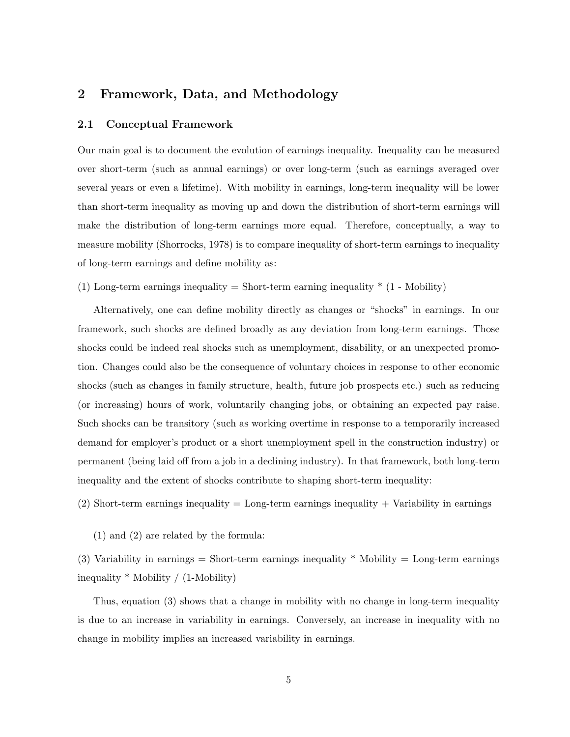# 2 Framework, Data, and Methodology

### 2.1 Conceptual Framework

Our main goal is to document the evolution of earnings inequality. Inequality can be measured over short-term (such as annual earnings) or over long-term (such as earnings averaged over several years or even a lifetime). With mobility in earnings, long-term inequality will be lower than short-term inequality as moving up and down the distribution of short-term earnings will make the distribution of long-term earnings more equal. Therefore, conceptually, a way to measure mobility (Shorrocks, 1978) is to compare inequality of short-term earnings to inequality of long-term earnings and define mobility as:

(1) Long-term earnings inequality  $=$  Short-term earning inequality  $*$  (1 - Mobility)

Alternatively, one can define mobility directly as changes or "shocks" in earnings. In our framework, such shocks are defined broadly as any deviation from long-term earnings. Those shocks could be indeed real shocks such as unemployment, disability, or an unexpected promotion. Changes could also be the consequence of voluntary choices in response to other economic shocks (such as changes in family structure, health, future job prospects etc.) such as reducing (or increasing) hours of work, voluntarily changing jobs, or obtaining an expected pay raise. Such shocks can be transitory (such as working overtime in response to a temporarily increased demand for employer's product or a short unemployment spell in the construction industry) or permanent (being laid off from a job in a declining industry). In that framework, both long-term inequality and the extent of shocks contribute to shaping short-term inequality:

 $(2)$  Short-term earnings inequality = Long-term earnings inequality + Variability in earnings

(1) and (2) are related by the formula:

(3) Variability in earnings  $=$  Short-term earnings inequality  $*$  Mobility  $=$  Long-term earnings inequality \* Mobility / (1-Mobility)

Thus, equation (3) shows that a change in mobility with no change in long-term inequality is due to an increase in variability in earnings. Conversely, an increase in inequality with no change in mobility implies an increased variability in earnings.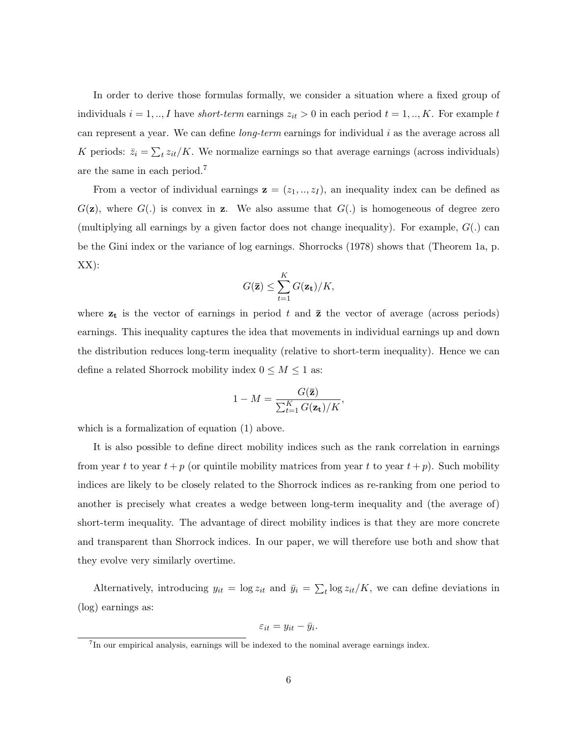In order to derive those formulas formally, we consider a situation where a fixed group of individuals  $i = 1, ..., I$  have *short-term* earnings  $z_{it} > 0$  in each period  $t = 1, ..., K$ . For example t can represent a year. We can define *long-term* earnings for individual  $i$  as the average across all K periods:  $\bar{z}_i = \sum_t z_{it}/K$ . We normalize earnings so that average earnings (across individuals) are the same in each period.<sup>7</sup>

From a vector of individual earnings  $z = (z_1, ..., z_I)$ , an inequality index can be defined as  $G(\mathbf{z})$ , where  $G(.)$  is convex in **z**. We also assume that  $G(.)$  is homogeneous of degree zero (multiplying all earnings by a given factor does not change inequality). For example,  $G(.)$  can be the Gini index or the variance of log earnings. Shorrocks (1978) shows that (Theorem 1a, p. XX):

$$
G(\overline{\mathbf{z}}) \leq \sum_{t=1}^K G(\mathbf{z_t})/K,
$$

where  $z_t$  is the vector of earnings in period t and  $\bar{z}$  the vector of average (across periods) earnings. This inequality captures the idea that movements in individual earnings up and down the distribution reduces long-term inequality (relative to short-term inequality). Hence we can define a related Shorrock mobility index  $0 \leq M \leq 1$  as:

$$
1 - M = \frac{G(\bar{\mathbf{z}})}{\sum_{t=1}^{K} G(\mathbf{z_t})/K},
$$

which is a formalization of equation (1) above.

It is also possible to define direct mobility indices such as the rank correlation in earnings from year t to year  $t + p$  (or quintile mobility matrices from year t to year  $t + p$ ). Such mobility indices are likely to be closely related to the Shorrock indices as re-ranking from one period to another is precisely what creates a wedge between long-term inequality and (the average of) short-term inequality. The advantage of direct mobility indices is that they are more concrete and transparent than Shorrock indices. In our paper, we will therefore use both and show that they evolve very similarly overtime.

Alternatively, introducing  $y_{it} = \log z_{it}$  and  $\bar{y}_i = \sum_t \log z_{it}/K$ , we can define deviations in (log) earnings as:

$$
\varepsilon_{it} = y_{it} - \bar{y}_i.
$$

<sup>&</sup>lt;sup>7</sup>In our empirical analysis, earnings will be indexed to the nominal average earnings index.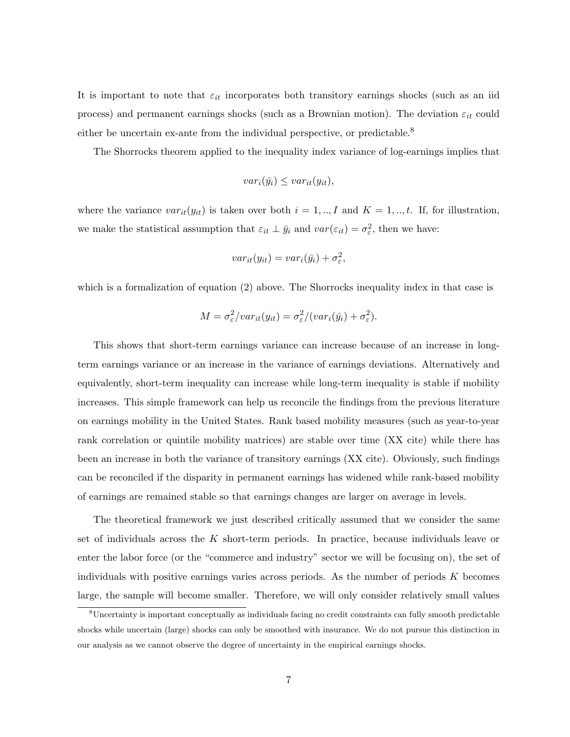It is important to note that  $\varepsilon_{it}$  incorporates both transitory earnings shocks (such as an iid process) and permanent earnings shocks (such as a Brownian motion). The deviation  $\varepsilon_{it}$  could either be uncertain ex-ante from the individual perspective, or predictable.<sup>8</sup>

The Shorrocks theorem applied to the inequality index variance of log-earnings implies that

$$
var_i(\bar{y_i}) \leq var_{it}(y_{it}),
$$

where the variance  $var_{it}(y_{it})$  is taken over both  $i = 1, ..., I$  and  $K = 1, ..., t$ . If, for illustration, we make the statistical assumption that  $\varepsilon_{it} \perp \bar{y}_i$  and  $var(\varepsilon_{it}) = \sigma_{\varepsilon}^2$ , then we have:

$$
var_{it}(y_{it}) = var_i(\bar{y}_i) + \sigma_{\varepsilon}^2,
$$

which is a formalization of equation (2) above. The Shorrocks inequality index in that case is

$$
M = \sigma_{\varepsilon}^2 / var_{it}(y_{it}) = \sigma_{\varepsilon}^2 / (var_i(\bar{y}_i) + \sigma_{\varepsilon}^2).
$$

This shows that short-term earnings variance can increase because of an increase in longterm earnings variance or an increase in the variance of earnings deviations. Alternatively and equivalently, short-term inequality can increase while long-term inequality is stable if mobility increases. This simple framework can help us reconcile the findings from the previous literature on earnings mobility in the United States. Rank based mobility measures (such as year-to-year rank correlation or quintile mobility matrices) are stable over time (XX cite) while there has been an increase in both the variance of transitory earnings (XX cite). Obviously, such findings can be reconciled if the disparity in permanent earnings has widened while rank-based mobility of earnings are remained stable so that earnings changes are larger on average in levels.

The theoretical framework we just described critically assumed that we consider the same set of individuals across the  $K$  short-term periods. In practice, because individuals leave or enter the labor force (or the "commerce and industry" sector we will be focusing on), the set of individuals with positive earnings varies across periods. As the number of periods  $K$  becomes large, the sample will become smaller. Therefore, we will only consider relatively small values

<sup>8</sup>Uncertainty is important conceptually as individuals facing no credit constraints can fully smooth predictable shocks while uncertain (large) shocks can only be smoothed with insurance. We do not pursue this distinction in our analysis as we cannot observe the degree of uncertainty in the empirical earnings shocks.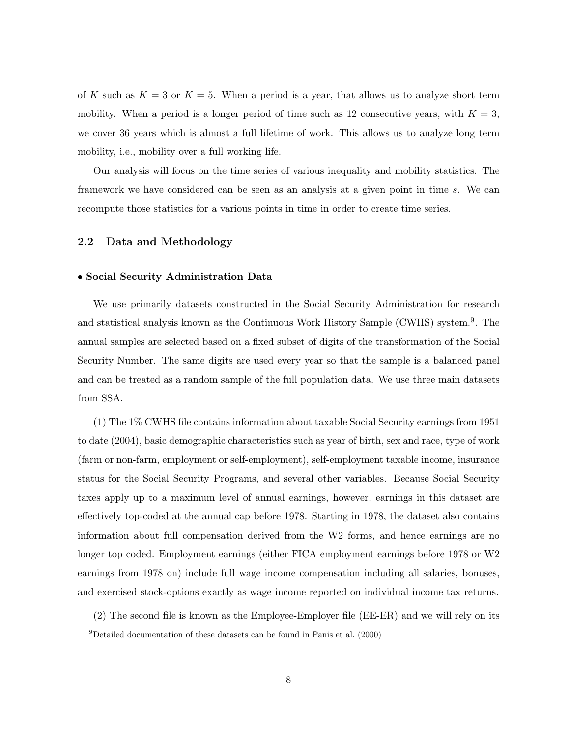of K such as  $K = 3$  or  $K = 5$ . When a period is a year, that allows us to analyze short term mobility. When a period is a longer period of time such as 12 consecutive years, with  $K = 3$ , we cover 36 years which is almost a full lifetime of work. This allows us to analyze long term mobility, i.e., mobility over a full working life.

Our analysis will focus on the time series of various inequality and mobility statistics. The framework we have considered can be seen as an analysis at a given point in time s. We can recompute those statistics for a various points in time in order to create time series.

### 2.2 Data and Methodology

### • Social Security Administration Data

We use primarily datasets constructed in the Social Security Administration for research and statistical analysis known as the Continuous Work History Sample (CWHS) system.<sup>9</sup>. The annual samples are selected based on a fixed subset of digits of the transformation of the Social Security Number. The same digits are used every year so that the sample is a balanced panel and can be treated as a random sample of the full population data. We use three main datasets from SSA.

(1) The 1% CWHS file contains information about taxable Social Security earnings from 1951 to date (2004), basic demographic characteristics such as year of birth, sex and race, type of work (farm or non-farm, employment or self-employment), self-employment taxable income, insurance status for the Social Security Programs, and several other variables. Because Social Security taxes apply up to a maximum level of annual earnings, however, earnings in this dataset are effectively top-coded at the annual cap before 1978. Starting in 1978, the dataset also contains information about full compensation derived from the W2 forms, and hence earnings are no longer top coded. Employment earnings (either FICA employment earnings before 1978 or W2 earnings from 1978 on) include full wage income compensation including all salaries, bonuses, and exercised stock-options exactly as wage income reported on individual income tax returns.

(2) The second file is known as the Employee-Employer file (EE-ER) and we will rely on its

 $^{9}$ Detailed documentation of these datasets can be found in Panis et al. (2000)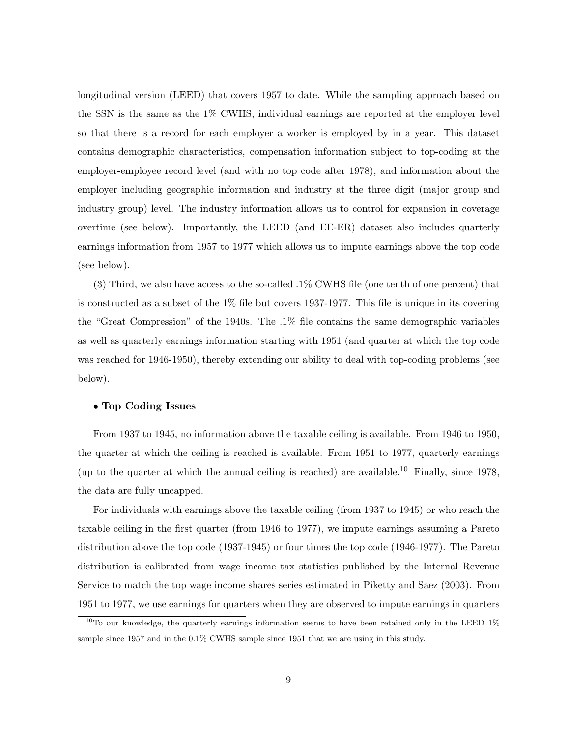longitudinal version (LEED) that covers 1957 to date. While the sampling approach based on the SSN is the same as the 1% CWHS, individual earnings are reported at the employer level so that there is a record for each employer a worker is employed by in a year. This dataset contains demographic characteristics, compensation information subject to top-coding at the employer-employee record level (and with no top code after 1978), and information about the employer including geographic information and industry at the three digit (major group and industry group) level. The industry information allows us to control for expansion in coverage overtime (see below). Importantly, the LEED (and EE-ER) dataset also includes quarterly earnings information from 1957 to 1977 which allows us to impute earnings above the top code (see below).

(3) Third, we also have access to the so-called .1% CWHS file (one tenth of one percent) that is constructed as a subset of the 1% file but covers 1937-1977. This file is unique in its covering the "Great Compression" of the 1940s. The .1% file contains the same demographic variables as well as quarterly earnings information starting with 1951 (and quarter at which the top code was reached for 1946-1950), thereby extending our ability to deal with top-coding problems (see below).

### • Top Coding Issues

From 1937 to 1945, no information above the taxable ceiling is available. From 1946 to 1950, the quarter at which the ceiling is reached is available. From 1951 to 1977, quarterly earnings (up to the quarter at which the annual ceiling is reached) are available.<sup>10</sup> Finally, since 1978, the data are fully uncapped.

For individuals with earnings above the taxable ceiling (from 1937 to 1945) or who reach the taxable ceiling in the first quarter (from 1946 to 1977), we impute earnings assuming a Pareto distribution above the top code (1937-1945) or four times the top code (1946-1977). The Pareto distribution is calibrated from wage income tax statistics published by the Internal Revenue Service to match the top wage income shares series estimated in Piketty and Saez (2003). From 1951 to 1977, we use earnings for quarters when they are observed to impute earnings in quarters

 $10$ To our knowledge, the quarterly earnings information seems to have been retained only in the LEED  $1\%$ sample since 1957 and in the 0.1% CWHS sample since 1951 that we are using in this study.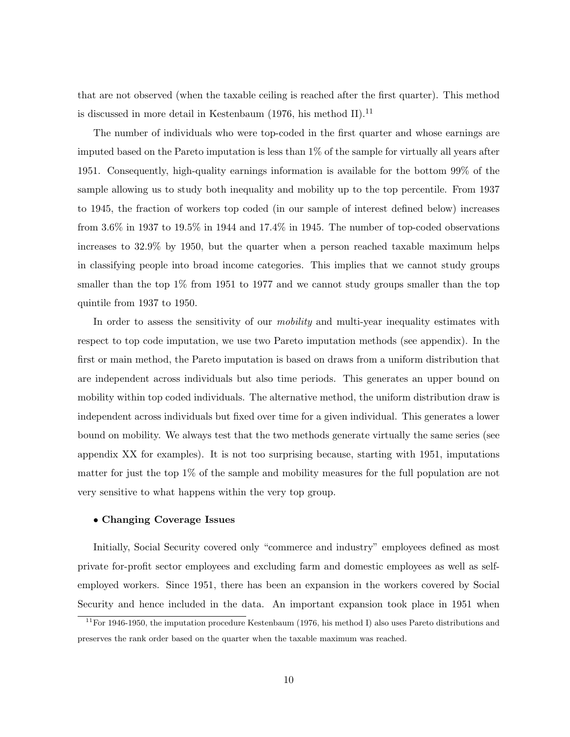that are not observed (when the taxable ceiling is reached after the first quarter). This method is discussed in more detail in Kestenbaum (1976, his method II).<sup>11</sup>

The number of individuals who were top-coded in the first quarter and whose earnings are imputed based on the Pareto imputation is less than 1% of the sample for virtually all years after 1951. Consequently, high-quality earnings information is available for the bottom 99% of the sample allowing us to study both inequality and mobility up to the top percentile. From 1937 to 1945, the fraction of workers top coded (in our sample of interest defined below) increases from 3.6% in 1937 to 19.5% in 1944 and 17.4% in 1945. The number of top-coded observations increases to 32.9% by 1950, but the quarter when a person reached taxable maximum helps in classifying people into broad income categories. This implies that we cannot study groups smaller than the top 1% from 1951 to 1977 and we cannot study groups smaller than the top quintile from 1937 to 1950.

In order to assess the sensitivity of our *mobility* and multi-year inequality estimates with respect to top code imputation, we use two Pareto imputation methods (see appendix). In the first or main method, the Pareto imputation is based on draws from a uniform distribution that are independent across individuals but also time periods. This generates an upper bound on mobility within top coded individuals. The alternative method, the uniform distribution draw is independent across individuals but fixed over time for a given individual. This generates a lower bound on mobility. We always test that the two methods generate virtually the same series (see appendix XX for examples). It is not too surprising because, starting with 1951, imputations matter for just the top 1% of the sample and mobility measures for the full population are not very sensitive to what happens within the very top group.

#### • Changing Coverage Issues

Initially, Social Security covered only "commerce and industry" employees defined as most private for-profit sector employees and excluding farm and domestic employees as well as selfemployed workers. Since 1951, there has been an expansion in the workers covered by Social Security and hence included in the data. An important expansion took place in 1951 when

 $11$ For 1946-1950, the imputation procedure Kestenbaum (1976, his method I) also uses Pareto distributions and preserves the rank order based on the quarter when the taxable maximum was reached.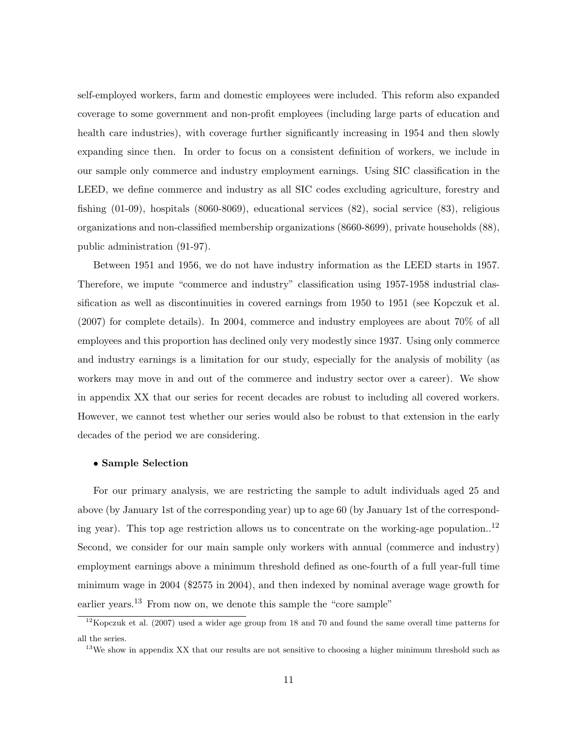self-employed workers, farm and domestic employees were included. This reform also expanded coverage to some government and non-profit employees (including large parts of education and health care industries), with coverage further significantly increasing in 1954 and then slowly expanding since then. In order to focus on a consistent definition of workers, we include in our sample only commerce and industry employment earnings. Using SIC classification in the LEED, we define commerce and industry as all SIC codes excluding agriculture, forestry and fishing (01-09), hospitals (8060-8069), educational services (82), social service (83), religious organizations and non-classified membership organizations (8660-8699), private households (88), public administration (91-97).

Between 1951 and 1956, we do not have industry information as the LEED starts in 1957. Therefore, we impute "commerce and industry" classification using 1957-1958 industrial classification as well as discontinuities in covered earnings from 1950 to 1951 (see Kopczuk et al. (2007) for complete details). In 2004, commerce and industry employees are about 70% of all employees and this proportion has declined only very modestly since 1937. Using only commerce and industry earnings is a limitation for our study, especially for the analysis of mobility (as workers may move in and out of the commerce and industry sector over a career). We show in appendix XX that our series for recent decades are robust to including all covered workers. However, we cannot test whether our series would also be robust to that extension in the early decades of the period we are considering.

### • Sample Selection

For our primary analysis, we are restricting the sample to adult individuals aged 25 and above (by January 1st of the corresponding year) up to age 60 (by January 1st of the corresponding year). This top age restriction allows us to concentrate on the working-age population..<sup>12</sup> Second, we consider for our main sample only workers with annual (commerce and industry) employment earnings above a minimum threshold defined as one-fourth of a full year-full time minimum wage in 2004 (\$2575 in 2004), and then indexed by nominal average wage growth for earlier years.<sup>13</sup> From now on, we denote this sample the "core sample"

 $12$ Kopczuk et al. (2007) used a wider age group from 18 and 70 and found the same overall time patterns for all the series.

<sup>&</sup>lt;sup>13</sup>We show in appendix XX that our results are not sensitive to choosing a higher minimum threshold such as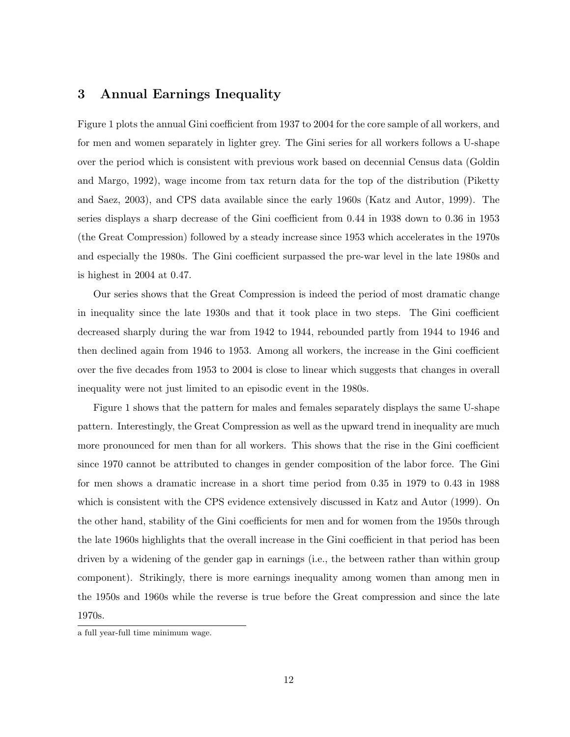## 3 Annual Earnings Inequality

Figure 1 plots the annual Gini coefficient from 1937 to 2004 for the core sample of all workers, and for men and women separately in lighter grey. The Gini series for all workers follows a U-shape over the period which is consistent with previous work based on decennial Census data (Goldin and Margo, 1992), wage income from tax return data for the top of the distribution (Piketty and Saez, 2003), and CPS data available since the early 1960s (Katz and Autor, 1999). The series displays a sharp decrease of the Gini coefficient from 0.44 in 1938 down to 0.36 in 1953 (the Great Compression) followed by a steady increase since 1953 which accelerates in the 1970s and especially the 1980s. The Gini coefficient surpassed the pre-war level in the late 1980s and is highest in 2004 at 0.47.

Our series shows that the Great Compression is indeed the period of most dramatic change in inequality since the late 1930s and that it took place in two steps. The Gini coefficient decreased sharply during the war from 1942 to 1944, rebounded partly from 1944 to 1946 and then declined again from 1946 to 1953. Among all workers, the increase in the Gini coefficient over the five decades from 1953 to 2004 is close to linear which suggests that changes in overall inequality were not just limited to an episodic event in the 1980s.

Figure 1 shows that the pattern for males and females separately displays the same U-shape pattern. Interestingly, the Great Compression as well as the upward trend in inequality are much more pronounced for men than for all workers. This shows that the rise in the Gini coefficient since 1970 cannot be attributed to changes in gender composition of the labor force. The Gini for men shows a dramatic increase in a short time period from 0.35 in 1979 to 0.43 in 1988 which is consistent with the CPS evidence extensively discussed in Katz and Autor (1999). On the other hand, stability of the Gini coefficients for men and for women from the 1950s through the late 1960s highlights that the overall increase in the Gini coefficient in that period has been driven by a widening of the gender gap in earnings (i.e., the between rather than within group component). Strikingly, there is more earnings inequality among women than among men in the 1950s and 1960s while the reverse is true before the Great compression and since the late 1970s.

a full year-full time minimum wage.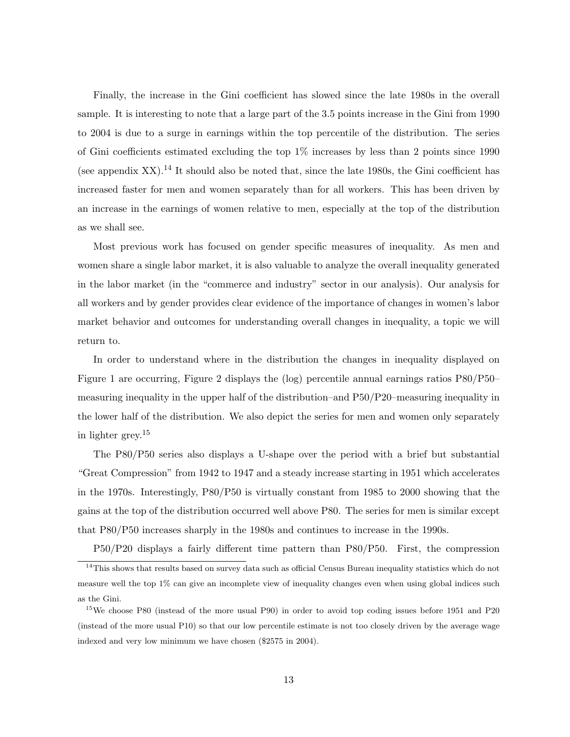Finally, the increase in the Gini coefficient has slowed since the late 1980s in the overall sample. It is interesting to note that a large part of the 3.5 points increase in the Gini from 1990 to 2004 is due to a surge in earnings within the top percentile of the distribution. The series of Gini coefficients estimated excluding the top 1% increases by less than 2 points since 1990 (see appendix XX).<sup>14</sup> It should also be noted that, since the late 1980s, the Gini coefficient has increased faster for men and women separately than for all workers. This has been driven by an increase in the earnings of women relative to men, especially at the top of the distribution as we shall see.

Most previous work has focused on gender specific measures of inequality. As men and women share a single labor market, it is also valuable to analyze the overall inequality generated in the labor market (in the "commerce and industry" sector in our analysis). Our analysis for all workers and by gender provides clear evidence of the importance of changes in women's labor market behavior and outcomes for understanding overall changes in inequality, a topic we will return to.

In order to understand where in the distribution the changes in inequality displayed on Figure 1 are occurring, Figure 2 displays the (log) percentile annual earnings ratios P80/P50– measuring inequality in the upper half of the distribution–and P50/P20–measuring inequality in the lower half of the distribution. We also depict the series for men and women only separately in lighter grey.<sup>15</sup>

The P80/P50 series also displays a U-shape over the period with a brief but substantial "Great Compression" from 1942 to 1947 and a steady increase starting in 1951 which accelerates in the 1970s. Interestingly, P80/P50 is virtually constant from 1985 to 2000 showing that the gains at the top of the distribution occurred well above P80. The series for men is similar except that P80/P50 increases sharply in the 1980s and continues to increase in the 1990s.

P50/P20 displays a fairly different time pattern than P80/P50. First, the compression

<sup>&</sup>lt;sup>14</sup>This shows that results based on survey data such as official Census Bureau inequality statistics which do not measure well the top 1% can give an incomplete view of inequality changes even when using global indices such as the Gini.

<sup>&</sup>lt;sup>15</sup>We choose P80 (instead of the more usual P90) in order to avoid top coding issues before 1951 and P20 (instead of the more usual P10) so that our low percentile estimate is not too closely driven by the average wage indexed and very low minimum we have chosen (\$2575 in 2004).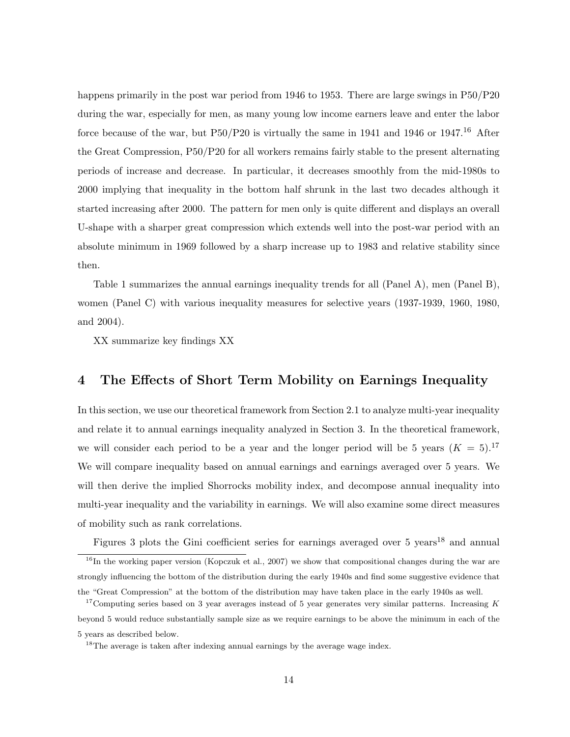happens primarily in the post war period from 1946 to 1953. There are large swings in P50/P20 during the war, especially for men, as many young low income earners leave and enter the labor force because of the war, but  $P50/P20$  is virtually the same in 1941 and 1946 or 1947.<sup>16</sup> After the Great Compression, P50/P20 for all workers remains fairly stable to the present alternating periods of increase and decrease. In particular, it decreases smoothly from the mid-1980s to 2000 implying that inequality in the bottom half shrunk in the last two decades although it started increasing after 2000. The pattern for men only is quite different and displays an overall U-shape with a sharper great compression which extends well into the post-war period with an absolute minimum in 1969 followed by a sharp increase up to 1983 and relative stability since then.

Table 1 summarizes the annual earnings inequality trends for all (Panel A), men (Panel B), women (Panel C) with various inequality measures for selective years (1937-1939, 1960, 1980, and 2004).

XX summarize key findings XX

# 4 The Effects of Short Term Mobility on Earnings Inequality

In this section, we use our theoretical framework from Section 2.1 to analyze multi-year inequality and relate it to annual earnings inequality analyzed in Section 3. In the theoretical framework, we will consider each period to be a year and the longer period will be 5 years  $(K = 5)^{17}$ We will compare inequality based on annual earnings and earnings averaged over 5 years. We will then derive the implied Shorrocks mobility index, and decompose annual inequality into multi-year inequality and the variability in earnings. We will also examine some direct measures of mobility such as rank correlations.

Figures 3 plots the Gini coefficient series for earnings averaged over 5 years<sup>18</sup> and annual

 $16$ In the working paper version (Kopczuk et al., 2007) we show that compositional changes during the war are strongly influencing the bottom of the distribution during the early 1940s and find some suggestive evidence that the "Great Compression" at the bottom of the distribution may have taken place in the early 1940s as well.

<sup>&</sup>lt;sup>17</sup>Computing series based on 3 year averages instead of 5 year generates very similar patterns. Increasing  $K$ beyond 5 would reduce substantially sample size as we require earnings to be above the minimum in each of the 5 years as described below.

<sup>&</sup>lt;sup>18</sup>The average is taken after indexing annual earnings by the average wage index.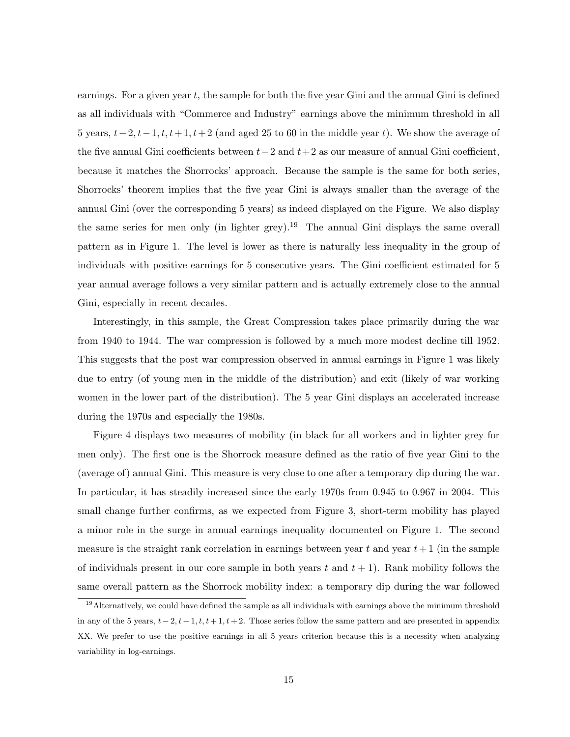earnings. For a given year  $t$ , the sample for both the five year Gini and the annual Gini is defined as all individuals with "Commerce and Industry" earnings above the minimum threshold in all 5 years,  $t-2$ ,  $t-1$ ,  $t$ ,  $t+1$ ,  $t+2$  (and aged 25 to 60 in the middle year t). We show the average of the five annual Gini coefficients between  $t-2$  and  $t+2$  as our measure of annual Gini coefficient, because it matches the Shorrocks' approach. Because the sample is the same for both series, Shorrocks' theorem implies that the five year Gini is always smaller than the average of the annual Gini (over the corresponding 5 years) as indeed displayed on the Figure. We also display the same series for men only (in lighter grey).<sup>19</sup> The annual Gini displays the same overall pattern as in Figure 1. The level is lower as there is naturally less inequality in the group of individuals with positive earnings for 5 consecutive years. The Gini coefficient estimated for 5 year annual average follows a very similar pattern and is actually extremely close to the annual Gini, especially in recent decades.

Interestingly, in this sample, the Great Compression takes place primarily during the war from 1940 to 1944. The war compression is followed by a much more modest decline till 1952. This suggests that the post war compression observed in annual earnings in Figure 1 was likely due to entry (of young men in the middle of the distribution) and exit (likely of war working women in the lower part of the distribution). The 5 year Gini displays an accelerated increase during the 1970s and especially the 1980s.

Figure 4 displays two measures of mobility (in black for all workers and in lighter grey for men only). The first one is the Shorrock measure defined as the ratio of five year Gini to the (average of) annual Gini. This measure is very close to one after a temporary dip during the war. In particular, it has steadily increased since the early 1970s from 0.945 to 0.967 in 2004. This small change further confirms, as we expected from Figure 3, short-term mobility has played a minor role in the surge in annual earnings inequality documented on Figure 1. The second measure is the straight rank correlation in earnings between year t and year  $t+1$  (in the sample of individuals present in our core sample in both years t and  $t + 1$ ). Rank mobility follows the same overall pattern as the Shorrock mobility index: a temporary dip during the war followed

<sup>&</sup>lt;sup>19</sup>Alternatively, we could have defined the sample as all individuals with earnings above the minimum threshold in any of the 5 years,  $t-2$ ,  $t-1$ ,  $t$ ,  $t+1$ ,  $t+2$ . Those series follow the same pattern and are presented in appendix XX. We prefer to use the positive earnings in all 5 years criterion because this is a necessity when analyzing variability in log-earnings.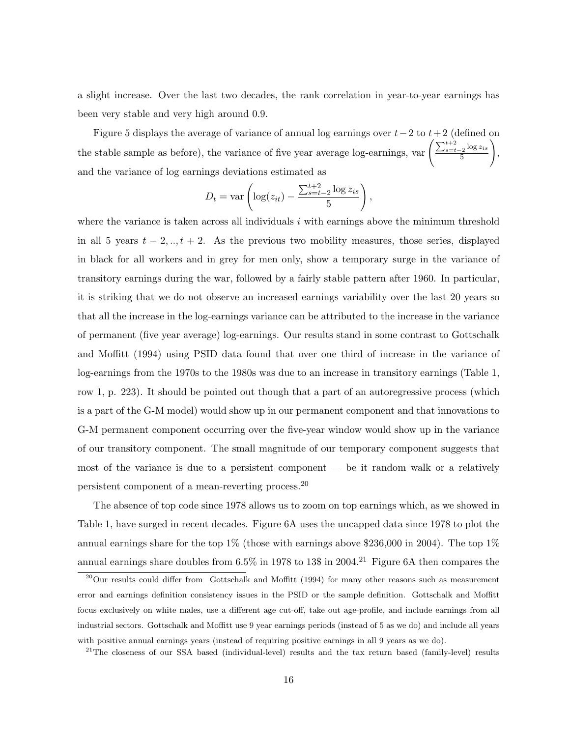a slight increase. Over the last two decades, the rank correlation in year-to-year earnings has been very stable and very high around 0.9.

Figure 5 displays the average of variance of annual log earnings over  $t-2$  to  $t+2$  (defined on the stable sample as before), the variance of five year average log-earnings, var  $\left(\frac{\sum_{s=t-2}^{t+2} \log z_{is}}{5}\right)$ 5  $\setminus$ , and the variance of log earnings deviations estimated as

$$
D_t = \text{var}\left(\log(z_{it}) - \frac{\sum_{s=t-2}^{t+2} \log z_{is}}{5}\right),\,
$$

where the variance is taken across all individuals  $i$  with earnings above the minimum threshold in all 5 years  $t - 2, ..., t + 2$ . As the previous two mobility measures, those series, displayed in black for all workers and in grey for men only, show a temporary surge in the variance of transitory earnings during the war, followed by a fairly stable pattern after 1960. In particular, it is striking that we do not observe an increased earnings variability over the last 20 years so that all the increase in the log-earnings variance can be attributed to the increase in the variance of permanent (five year average) log-earnings. Our results stand in some contrast to Gottschalk and Moffitt (1994) using PSID data found that over one third of increase in the variance of log-earnings from the 1970s to the 1980s was due to an increase in transitory earnings (Table 1, row 1, p. 223). It should be pointed out though that a part of an autoregressive process (which is a part of the G-M model) would show up in our permanent component and that innovations to G-M permanent component occurring over the five-year window would show up in the variance of our transitory component. The small magnitude of our temporary component suggests that most of the variance is due to a persistent component — be it random walk or a relatively persistent component of a mean-reverting process.<sup>20</sup>

The absence of top code since 1978 allows us to zoom on top earnings which, as we showed in Table 1, have surged in recent decades. Figure 6A uses the uncapped data since 1978 to plot the annual earnings share for the top  $1\%$  (those with earnings above \$236,000 in 2004). The top  $1\%$ annual earnings share doubles from  $6.5\%$  in 1978 to 13\$ in 2004.<sup>21</sup> Figure 6A then compares the

 $^{20}$ Our results could differ from Gottschalk and Moffitt (1994) for many other reasons such as measurement error and earnings definition consistency issues in the PSID or the sample definition. Gottschalk and Moffitt focus exclusively on white males, use a different age cut-off, take out age-profile, and include earnings from all industrial sectors. Gottschalk and Moffitt use 9 year earnings periods (instead of 5 as we do) and include all years with positive annual earnings years (instead of requiring positive earnings in all 9 years as we do).

<sup>21</sup>The closeness of our SSA based (individual-level) results and the tax return based (family-level) results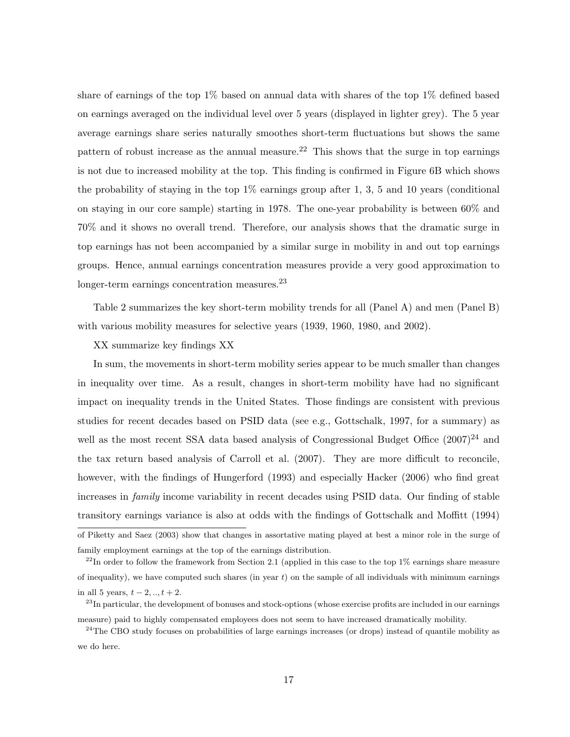share of earnings of the top 1% based on annual data with shares of the top 1% defined based on earnings averaged on the individual level over 5 years (displayed in lighter grey). The 5 year average earnings share series naturally smoothes short-term fluctuations but shows the same pattern of robust increase as the annual measure.<sup>22</sup> This shows that the surge in top earnings is not due to increased mobility at the top. This finding is confirmed in Figure 6B which shows the probability of staying in the top  $1\%$  earnings group after 1, 3, 5 and 10 years (conditional on staying in our core sample) starting in 1978. The one-year probability is between 60% and 70% and it shows no overall trend. Therefore, our analysis shows that the dramatic surge in top earnings has not been accompanied by a similar surge in mobility in and out top earnings groups. Hence, annual earnings concentration measures provide a very good approximation to longer-term earnings concentration measures.<sup>23</sup>

Table 2 summarizes the key short-term mobility trends for all (Panel A) and men (Panel B) with various mobility measures for selective years (1939, 1960, 1980, and 2002).

#### XX summarize key findings XX

In sum, the movements in short-term mobility series appear to be much smaller than changes in inequality over time. As a result, changes in short-term mobility have had no significant impact on inequality trends in the United States. Those findings are consistent with previous studies for recent decades based on PSID data (see e.g., Gottschalk, 1997, for a summary) as well as the most recent SSA data based analysis of Congressional Budget Office  $(2007)^{24}$  and the tax return based analysis of Carroll et al. (2007). They are more difficult to reconcile, however, with the findings of Hungerford (1993) and especially Hacker (2006) who find great increases in *family* income variability in recent decades using PSID data. Our finding of stable transitory earnings variance is also at odds with the findings of Gottschalk and Moffitt (1994)

of Piketty and Saez (2003) show that changes in assortative mating played at best a minor role in the surge of family employment earnings at the top of the earnings distribution.

 $^{22}$ In order to follow the framework from Section 2.1 (applied in this case to the top 1% earnings share measure of inequality), we have computed such shares (in year  $t$ ) on the sample of all individuals with minimum earnings in all 5 years,  $t - 2, ..., t + 2$ .

 $^{23}$ In particular, the development of bonuses and stock-options (whose exercise profits are included in our earnings measure) paid to highly compensated employees does not seem to have increased dramatically mobility.

<sup>&</sup>lt;sup>24</sup>The CBO study focuses on probabilities of large earnings increases (or drops) instead of quantile mobility as we do here.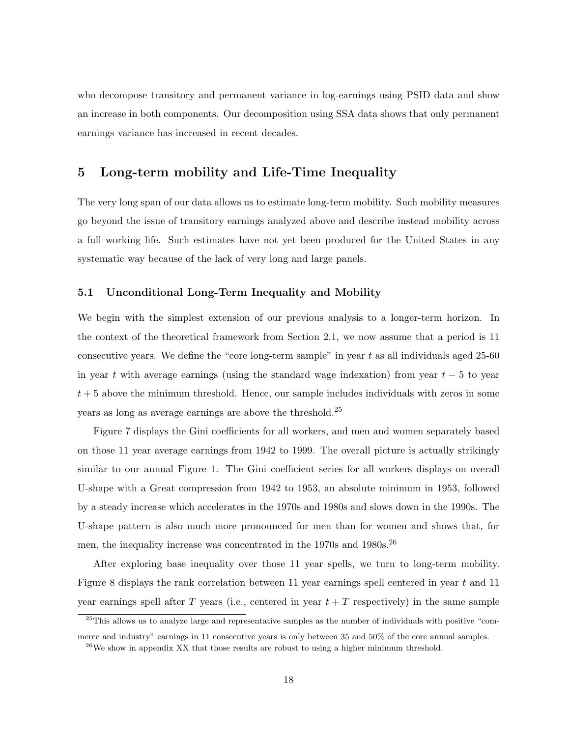who decompose transitory and permanent variance in log-earnings using PSID data and show an increase in both components. Our decomposition using SSA data shows that only permanent earnings variance has increased in recent decades.

### 5 Long-term mobility and Life-Time Inequality

The very long span of our data allows us to estimate long-term mobility. Such mobility measures go beyond the issue of transitory earnings analyzed above and describe instead mobility across a full working life. Such estimates have not yet been produced for the United States in any systematic way because of the lack of very long and large panels.

### 5.1 Unconditional Long-Term Inequality and Mobility

We begin with the simplest extension of our previous analysis to a longer-term horizon. In the context of the theoretical framework from Section 2.1, we now assume that a period is 11 consecutive years. We define the "core long-term sample" in year t as all individuals aged 25-60 in year t with average earnings (using the standard wage indexation) from year  $t - 5$  to year  $t + 5$  above the minimum threshold. Hence, our sample includes individuals with zeros in some years as long as average earnings are above the threshold.<sup>25</sup>

Figure 7 displays the Gini coefficients for all workers, and men and women separately based on those 11 year average earnings from 1942 to 1999. The overall picture is actually strikingly similar to our annual Figure 1. The Gini coefficient series for all workers displays on overall U-shape with a Great compression from 1942 to 1953, an absolute minimum in 1953, followed by a steady increase which accelerates in the 1970s and 1980s and slows down in the 1990s. The U-shape pattern is also much more pronounced for men than for women and shows that, for men, the inequality increase was concentrated in the 1970s and 1980s.<sup>26</sup>

After exploring base inequality over those 11 year spells, we turn to long-term mobility. Figure 8 displays the rank correlation between 11 year earnings spell centered in year  $t$  and 11 year earnings spell after T years (i.e., centered in year  $t + T$  respectively) in the same sample

<sup>&</sup>lt;sup>25</sup>This allows us to analyze large and representative samples as the number of individuals with positive "commerce and industry" earnings in 11 consecutive years is only between 35 and 50% of the core annual samples.

 $^{26}$ We show in appendix XX that those results are robust to using a higher minimum threshold.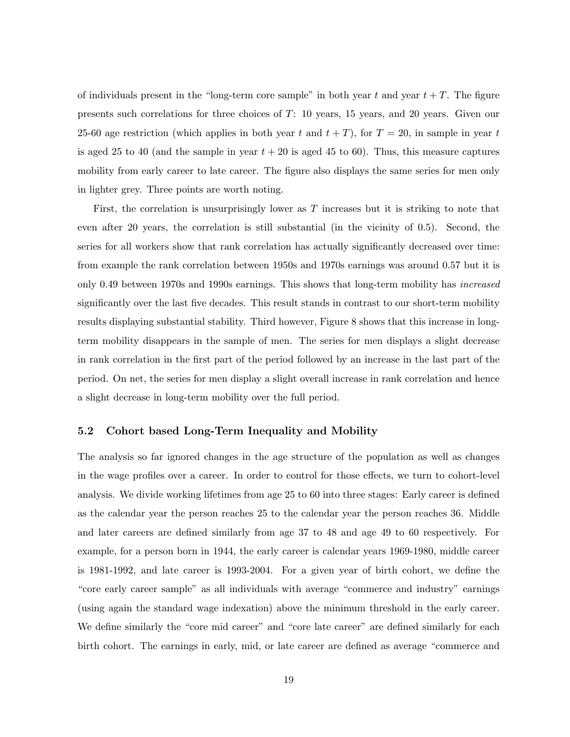of individuals present in the "long-term core sample" in both year t and year  $t + T$ . The figure presents such correlations for three choices of T: 10 years, 15 years, and 20 years. Given our 25-60 age restriction (which applies in both year t and  $t + T$ ), for  $T = 20$ , in sample in year t is aged 25 to 40 (and the sample in year  $t + 20$  is aged 45 to 60). Thus, this measure captures mobility from early career to late career. The figure also displays the same series for men only in lighter grey. Three points are worth noting.

First, the correlation is unsurprisingly lower as T increases but it is striking to note that even after 20 years, the correlation is still substantial (in the vicinity of 0.5). Second, the series for all workers show that rank correlation has actually significantly decreased over time: from example the rank correlation between 1950s and 1970s earnings was around 0.57 but it is only 0.49 between 1970s and 1990s earnings. This shows that long-term mobility has increased significantly over the last five decades. This result stands in contrast to our short-term mobility results displaying substantial stability. Third however, Figure 8 shows that this increase in longterm mobility disappears in the sample of men. The series for men displays a slight decrease in rank correlation in the first part of the period followed by an increase in the last part of the period. On net, the series for men display a slight overall increase in rank correlation and hence a slight decrease in long-term mobility over the full period.

### 5.2 Cohort based Long-Term Inequality and Mobility

The analysis so far ignored changes in the age structure of the population as well as changes in the wage profiles over a career. In order to control for those effects, we turn to cohort-level analysis. We divide working lifetimes from age 25 to 60 into three stages: Early career is defined as the calendar year the person reaches 25 to the calendar year the person reaches 36. Middle and later careers are defined similarly from age 37 to 48 and age 49 to 60 respectively. For example, for a person born in 1944, the early career is calendar years 1969-1980, middle career is 1981-1992, and late career is 1993-2004. For a given year of birth cohort, we define the "core early career sample" as all individuals with average "commerce and industry" earnings (using again the standard wage indexation) above the minimum threshold in the early career. We define similarly the "core mid career" and "core late career" are defined similarly for each birth cohort. The earnings in early, mid, or late career are defined as average "commerce and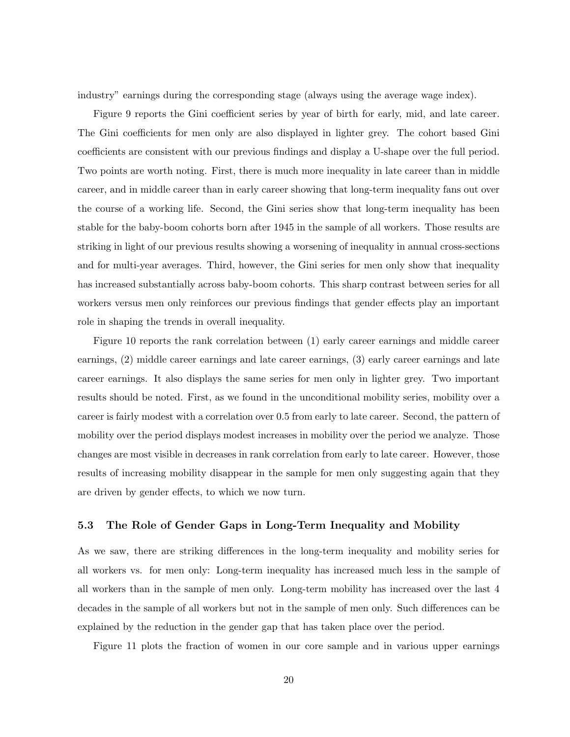industry" earnings during the corresponding stage (always using the average wage index).

Figure 9 reports the Gini coefficient series by year of birth for early, mid, and late career. The Gini coefficients for men only are also displayed in lighter grey. The cohort based Gini coefficients are consistent with our previous findings and display a U-shape over the full period. Two points are worth noting. First, there is much more inequality in late career than in middle career, and in middle career than in early career showing that long-term inequality fans out over the course of a working life. Second, the Gini series show that long-term inequality has been stable for the baby-boom cohorts born after 1945 in the sample of all workers. Those results are striking in light of our previous results showing a worsening of inequality in annual cross-sections and for multi-year averages. Third, however, the Gini series for men only show that inequality has increased substantially across baby-boom cohorts. This sharp contrast between series for all workers versus men only reinforces our previous findings that gender effects play an important role in shaping the trends in overall inequality.

Figure 10 reports the rank correlation between (1) early career earnings and middle career earnings, (2) middle career earnings and late career earnings, (3) early career earnings and late career earnings. It also displays the same series for men only in lighter grey. Two important results should be noted. First, as we found in the unconditional mobility series, mobility over a career is fairly modest with a correlation over 0.5 from early to late career. Second, the pattern of mobility over the period displays modest increases in mobility over the period we analyze. Those changes are most visible in decreases in rank correlation from early to late career. However, those results of increasing mobility disappear in the sample for men only suggesting again that they are driven by gender effects, to which we now turn.

### 5.3 The Role of Gender Gaps in Long-Term Inequality and Mobility

As we saw, there are striking differences in the long-term inequality and mobility series for all workers vs. for men only: Long-term inequality has increased much less in the sample of all workers than in the sample of men only. Long-term mobility has increased over the last 4 decades in the sample of all workers but not in the sample of men only. Such differences can be explained by the reduction in the gender gap that has taken place over the period.

Figure 11 plots the fraction of women in our core sample and in various upper earnings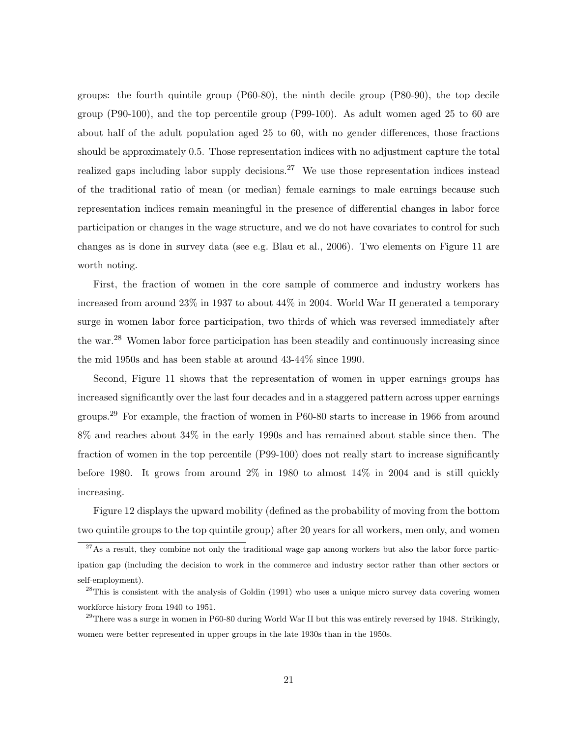groups: the fourth quintile group (P60-80), the ninth decile group (P80-90), the top decile group (P90-100), and the top percentile group (P99-100). As adult women aged 25 to 60 are about half of the adult population aged 25 to 60, with no gender differences, those fractions should be approximately 0.5. Those representation indices with no adjustment capture the total realized gaps including labor supply decisions.<sup>27</sup> We use those representation indices instead of the traditional ratio of mean (or median) female earnings to male earnings because such representation indices remain meaningful in the presence of differential changes in labor force participation or changes in the wage structure, and we do not have covariates to control for such changes as is done in survey data (see e.g. Blau et al., 2006). Two elements on Figure 11 are worth noting.

First, the fraction of women in the core sample of commerce and industry workers has increased from around 23% in 1937 to about 44% in 2004. World War II generated a temporary surge in women labor force participation, two thirds of which was reversed immediately after the war.<sup>28</sup> Women labor force participation has been steadily and continuously increasing since the mid 1950s and has been stable at around 43-44% since 1990.

Second, Figure 11 shows that the representation of women in upper earnings groups has increased significantly over the last four decades and in a staggered pattern across upper earnings groups.<sup>29</sup> For example, the fraction of women in P60-80 starts to increase in 1966 from around 8% and reaches about 34% in the early 1990s and has remained about stable since then. The fraction of women in the top percentile (P99-100) does not really start to increase significantly before 1980. It grows from around 2% in 1980 to almost 14% in 2004 and is still quickly increasing.

Figure 12 displays the upward mobility (defined as the probability of moving from the bottom two quintile groups to the top quintile group) after 20 years for all workers, men only, and women

 $^{27}$ As a result, they combine not only the traditional wage gap among workers but also the labor force participation gap (including the decision to work in the commerce and industry sector rather than other sectors or self-employment).

<sup>&</sup>lt;sup>28</sup>This is consistent with the analysis of Goldin (1991) who uses a unique micro survey data covering women workforce history from 1940 to 1951.

 $^{29}$ There was a surge in women in P60-80 during World War II but this was entirely reversed by 1948. Strikingly, women were better represented in upper groups in the late 1930s than in the 1950s.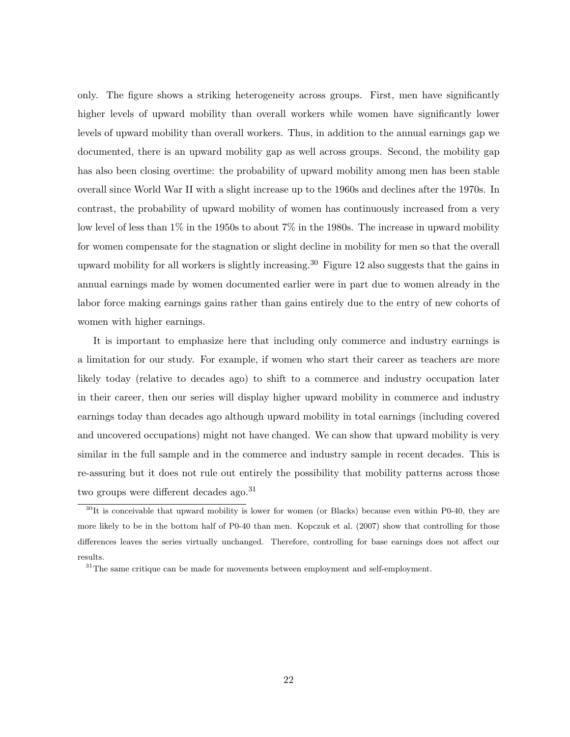only. The figure shows a striking heterogeneity across groups. First, men have significantly higher levels of upward mobility than overall workers while women have significantly lower levels of upward mobility than overall workers. Thus, in addition to the annual earnings gap we documented, there is an upward mobility gap as well across groups. Second, the mobility gap has also been closing overtime: the probability of upward mobility among men has been stable overall since World War II with a slight increase up to the 1960s and declines after the 1970s. In contrast, the probability of upward mobility of women has continuously increased from a very low level of less than 1% in the 1950s to about 7% in the 1980s. The increase in upward mobility for women compensate for the stagnation or slight decline in mobility for men so that the overall upward mobility for all workers is slightly increasing.<sup>30</sup> Figure 12 also suggests that the gains in annual earnings made by women documented earlier were in part due to women already in the labor force making earnings gains rather than gains entirely due to the entry of new cohorts of women with higher earnings.

It is important to emphasize here that including only commerce and industry earnings is a limitation for our study. For example, if women who start their career as teachers are more likely today (relative to decades ago) to shift to a commerce and industry occupation later in their career, then our series will display higher upward mobility in commerce and industry earnings today than decades ago although upward mobility in total earnings (including covered and uncovered occupations) might not have changed. We can show that upward mobility is very similar in the full sample and in the commerce and industry sample in recent decades. This is re-assuring but it does not rule out entirely the possibility that mobility patterns across those two groups were different decades ago.<sup>31</sup>

 $30$ It is conceivable that upward mobility is lower for women (or Blacks) because even within P0-40, they are more likely to be in the bottom half of P0-40 than men. Kopczuk et al. (2007) show that controlling for those differences leaves the series virtually unchanged. Therefore, controlling for base earnings does not affect our results.

 $31$ The same critique can be made for movements between employment and self-employment.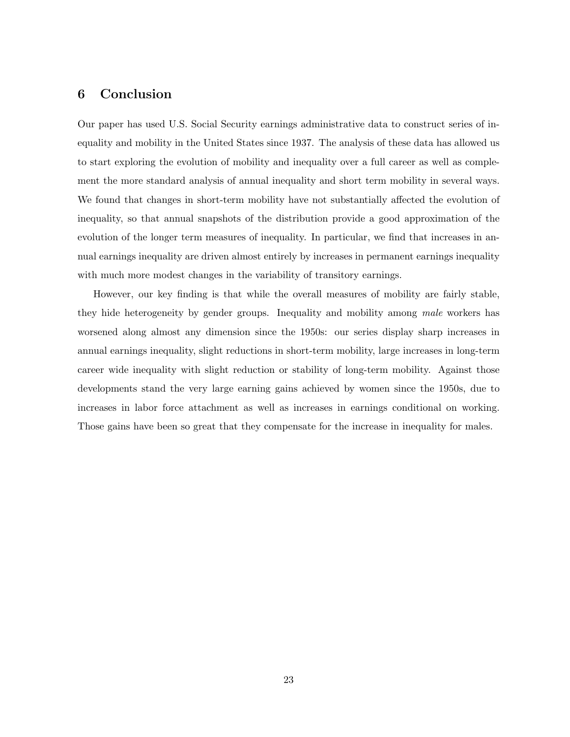# 6 Conclusion

Our paper has used U.S. Social Security earnings administrative data to construct series of inequality and mobility in the United States since 1937. The analysis of these data has allowed us to start exploring the evolution of mobility and inequality over a full career as well as complement the more standard analysis of annual inequality and short term mobility in several ways. We found that changes in short-term mobility have not substantially affected the evolution of inequality, so that annual snapshots of the distribution provide a good approximation of the evolution of the longer term measures of inequality. In particular, we find that increases in annual earnings inequality are driven almost entirely by increases in permanent earnings inequality with much more modest changes in the variability of transitory earnings.

However, our key finding is that while the overall measures of mobility are fairly stable, they hide heterogeneity by gender groups. Inequality and mobility among male workers has worsened along almost any dimension since the 1950s: our series display sharp increases in annual earnings inequality, slight reductions in short-term mobility, large increases in long-term career wide inequality with slight reduction or stability of long-term mobility. Against those developments stand the very large earning gains achieved by women since the 1950s, due to increases in labor force attachment as well as increases in earnings conditional on working. Those gains have been so great that they compensate for the increase in inequality for males.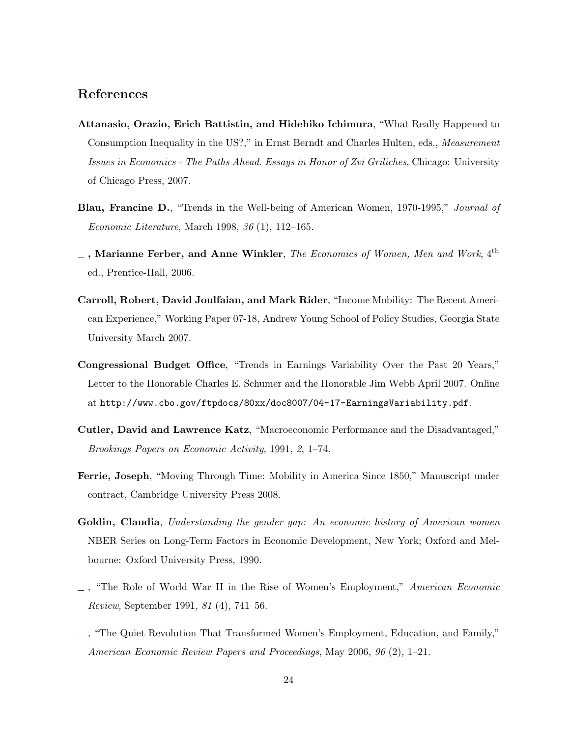# References

- Attanasio, Orazio, Erich Battistin, and Hidehiko Ichimura, "What Really Happened to Consumption Inequality in the US?," in Ernst Berndt and Charles Hulten, eds., Measurement Issues in Economics - The Paths Ahead. Essays in Honor of Zvi Griliches, Chicago: University of Chicago Press, 2007.
- **Blau, Francine D.**, "Trends in the Well-being of American Women, 1970-1995," *Journal of* Economic Literature, March 1998, 36 (1), 112–165.
- $\hspace{0.05cm}\underline{\ \ }\hspace{0.1cm}$  , Marianne Ferber, and Anne Winkler, The Economics of Women, Men and Work,  $4^{\text{th}}$ ed., Prentice-Hall, 2006.
- Carroll, Robert, David Joulfaian, and Mark Rider, "Income Mobility: The Recent American Experience," Working Paper 07-18, Andrew Young School of Policy Studies, Georgia State University March 2007.
- Congressional Budget Office, "Trends in Earnings Variability Over the Past 20 Years," Letter to the Honorable Charles E. Schumer and the Honorable Jim Webb April 2007. Online at http://www.cbo.gov/ftpdocs/80xx/doc8007/04-17-EarningsVariability.pdf.
- Cutler, David and Lawrence Katz, "Macroeconomic Performance and the Disadvantaged," Brookings Papers on Economic Activity, 1991, 2, 1–74.
- Ferrie, Joseph, "Moving Through Time: Mobility in America Since 1850," Manuscript under contract, Cambridge University Press 2008.
- Goldin, Claudia, Understanding the gender gap: An economic history of American women NBER Series on Long-Term Factors in Economic Development, New York; Oxford and Melbourne: Oxford University Press, 1990.
- $\Box$ , "The Role of World War II in the Rise of Women's Employment," American Economic Review, September 1991, 81 (4), 741–56.
- , "The Quiet Revolution That Transformed Women's Employment, Education, and Family," American Economic Review Papers and Proceedings, May 2006, 96 (2), 1–21.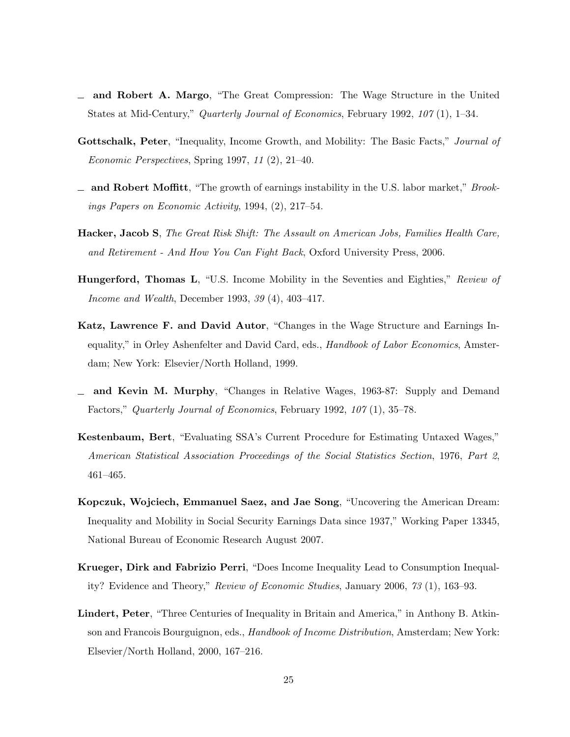- $\equiv$  and Robert A. Margo, "The Great Compression: The Wage Structure in the United States at Mid-Century," Quarterly Journal of Economics, February 1992, 107 (1), 1–34.
- Gottschalk, Peter, "Inequality, Income Growth, and Mobility: The Basic Facts," *Journal of* Economic Perspectives, Spring 1997, 11 (2), 21–40.
- $\Delta$  and Robert Moffitt, "The growth of earnings instability in the U.S. labor market," Brookings Papers on Economic Activity, 1994, (2), 217–54.
- Hacker, Jacob S, The Great Risk Shift: The Assault on American Jobs, Families Health Care, and Retirement - And How You Can Fight Back, Oxford University Press, 2006.
- Hungerford, Thomas L, "U.S. Income Mobility in the Seventies and Eighties," Review of Income and Wealth, December 1993, 39 (4), 403–417.
- Katz, Lawrence F. and David Autor, "Changes in the Wage Structure and Earnings Inequality," in Orley Ashenfelter and David Card, eds., *Handbook of Labor Economics*, Amsterdam; New York: Elsevier/North Holland, 1999.
- and Kevin M. Murphy, "Changes in Relative Wages, 1963-87: Supply and Demand Factors," Quarterly Journal of Economics, February 1992, 107 (1), 35–78.
- Kestenbaum, Bert, "Evaluating SSA's Current Procedure for Estimating Untaxed Wages," American Statistical Association Proceedings of the Social Statistics Section, 1976, Part 2, 461–465.
- Kopczuk, Wojciech, Emmanuel Saez, and Jae Song, "Uncovering the American Dream: Inequality and Mobility in Social Security Earnings Data since 1937," Working Paper 13345, National Bureau of Economic Research August 2007.
- Krueger, Dirk and Fabrizio Perri, "Does Income Inequality Lead to Consumption Inequality? Evidence and Theory," Review of Economic Studies, January 2006, 73 (1), 163–93.
- Lindert, Peter, "Three Centuries of Inequality in Britain and America," in Anthony B. Atkinson and Francois Bourguignon, eds., *Handbook of Income Distribution*, Amsterdam; New York: Elsevier/North Holland, 2000, 167–216.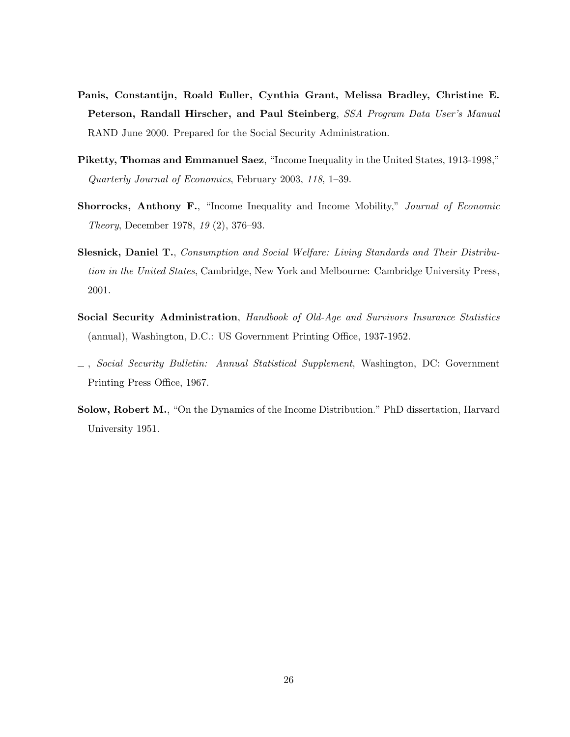- Panis, Constantijn, Roald Euller, Cynthia Grant, Melissa Bradley, Christine E. Peterson, Randall Hirscher, and Paul Steinberg, SSA Program Data User's Manual RAND June 2000. Prepared for the Social Security Administration.
- Piketty, Thomas and Emmanuel Saez, "Income Inequality in the United States, 1913-1998," Quarterly Journal of Economics, February 2003, 118, 1–39.
- Shorrocks, Anthony F., "Income Inequality and Income Mobility," Journal of Economic Theory, December 1978, 19 (2), 376–93.
- Slesnick, Daniel T., Consumption and Social Welfare: Living Standards and Their Distribution in the United States, Cambridge, New York and Melbourne: Cambridge University Press, 2001.
- Social Security Administration, Handbook of Old-Age and Survivors Insurance Statistics (annual), Washington, D.C.: US Government Printing Office, 1937-1952.
- , Social Security Bulletin: Annual Statistical Supplement, Washington, DC: Government Printing Press Office, 1967.
- Solow, Robert M., "On the Dynamics of the Income Distribution." PhD dissertation, Harvard University 1951.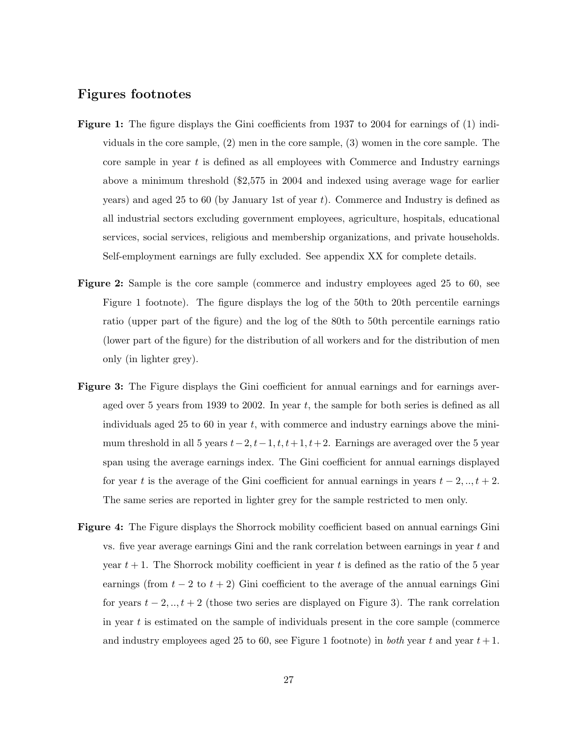## Figures footnotes

- Figure 1: The figure displays the Gini coefficients from 1937 to 2004 for earnings of (1) individuals in the core sample, (2) men in the core sample, (3) women in the core sample. The core sample in year  $t$  is defined as all employees with Commerce and Industry earnings above a minimum threshold (\$2,575 in 2004 and indexed using average wage for earlier years) and aged 25 to 60 (by January 1st of year  $t$ ). Commerce and Industry is defined as all industrial sectors excluding government employees, agriculture, hospitals, educational services, social services, religious and membership organizations, and private households. Self-employment earnings are fully excluded. See appendix XX for complete details.
- Figure 2: Sample is the core sample (commerce and industry employees aged 25 to 60, see Figure 1 footnote). The figure displays the log of the 50th to 20th percentile earnings ratio (upper part of the figure) and the log of the 80th to 50th percentile earnings ratio (lower part of the figure) for the distribution of all workers and for the distribution of men only (in lighter grey).
- **Figure 3:** The Figure displays the Gini coefficient for annual earnings and for earnings averaged over 5 years from 1939 to 2002. In year  $t$ , the sample for both series is defined as all individuals aged 25 to 60 in year  $t$ , with commerce and industry earnings above the minimum threshold in all 5 years  $t-2$ ,  $t-1$ ,  $t$ ,  $t+1$ ,  $t+2$ . Earnings are averaged over the 5 year span using the average earnings index. The Gini coefficient for annual earnings displayed for year t is the average of the Gini coefficient for annual earnings in years  $t - 2, ..., t + 2$ . The same series are reported in lighter grey for the sample restricted to men only.
- Figure 4: The Figure displays the Shorrock mobility coefficient based on annual earnings Gini vs. five year average earnings Gini and the rank correlation between earnings in year t and year  $t + 1$ . The Shorrock mobility coefficient in year t is defined as the ratio of the 5 year earnings (from  $t - 2$  to  $t + 2$ ) Gini coefficient to the average of the annual earnings Gini for years  $t - 2, ..., t + 2$  (those two series are displayed on Figure 3). The rank correlation in year  $t$  is estimated on the sample of individuals present in the core sample (commerce and industry employees aged 25 to 60, see Figure 1 footnote) in both year t and year  $t+1$ .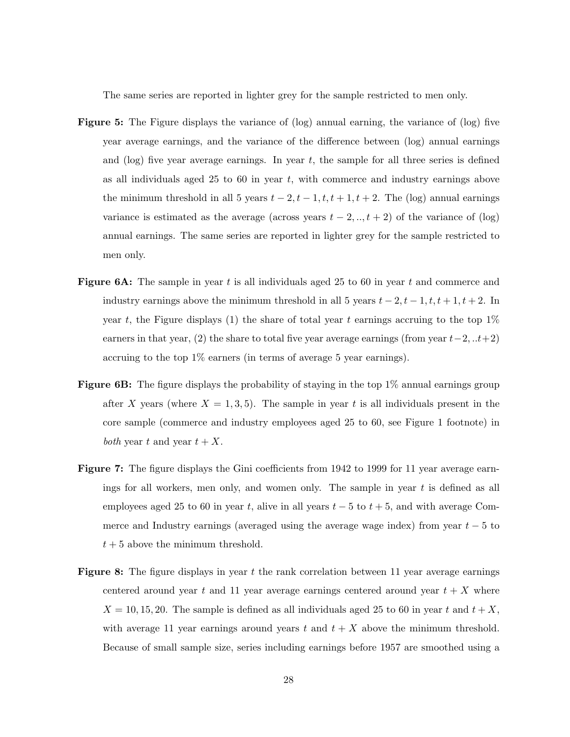The same series are reported in lighter grey for the sample restricted to men only.

- Figure 5: The Figure displays the variance of (log) annual earning, the variance of (log) five year average earnings, and the variance of the difference between (log) annual earnings and (log) five year average earnings. In year  $t$ , the sample for all three series is defined as all individuals aged  $25$  to  $60$  in year t, with commerce and industry earnings above the minimum threshold in all 5 years  $t - 2$ ,  $t - 1$ ,  $t$ ,  $t + 1$ ,  $t + 2$ . The (log) annual earnings variance is estimated as the average (across years  $t - 2, \ldots, t + 2$ ) of the variance of (log) annual earnings. The same series are reported in lighter grey for the sample restricted to men only.
- **Figure 6A:** The sample in year t is all individuals aged 25 to 60 in year t and commerce and industry earnings above the minimum threshold in all 5 years  $t - 2$ ,  $t - 1$ ,  $t$ ,  $t + 1$ ,  $t + 2$ . In year t, the Figure displays (1) the share of total year t earnings accruing to the top  $1\%$ earners in that year, (2) the share to total five year average earnings (from year  $t-2, ...t+2$ ) accruing to the top 1% earners (in terms of average 5 year earnings).
- Figure 6B: The figure displays the probability of staying in the top  $1\%$  annual earnings group after X years (where  $X = 1, 3, 5$ ). The sample in year t is all individuals present in the core sample (commerce and industry employees aged 25 to 60, see Figure 1 footnote) in both year t and year  $t + X$ .
- Figure 7: The figure displays the Gini coefficients from 1942 to 1999 for 11 year average earnings for all workers, men only, and women only. The sample in year  $t$  is defined as all employees aged 25 to 60 in year t, alive in all years  $t - 5$  to  $t + 5$ , and with average Commerce and Industry earnings (averaged using the average wage index) from year  $t - 5$  to  $t + 5$  above the minimum threshold.
- **Figure 8:** The figure displays in year t the rank correlation between 11 year average earnings centered around year t and 11 year average earnings centered around year  $t + X$  where  $X = 10, 15, 20$ . The sample is defined as all individuals aged 25 to 60 in year t and  $t + X$ , with average 11 year earnings around years t and  $t + X$  above the minimum threshold. Because of small sample size, series including earnings before 1957 are smoothed using a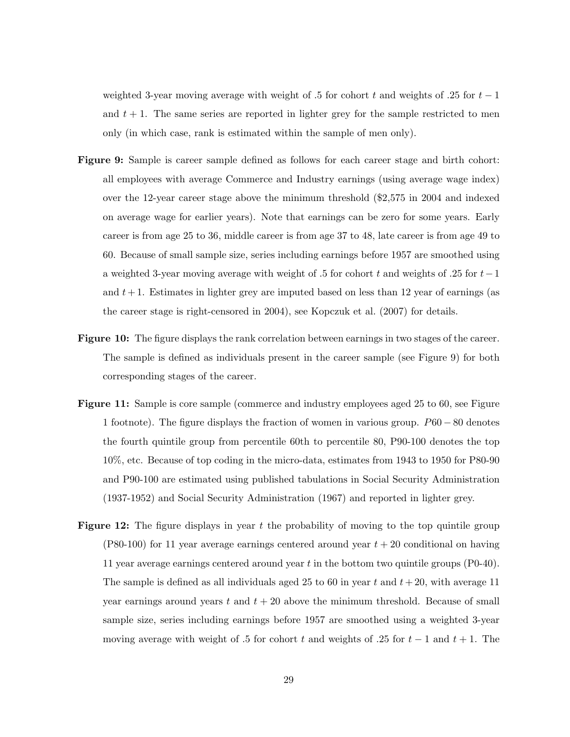weighted 3-year moving average with weight of .5 for cohort t and weights of .25 for  $t-1$ and  $t + 1$ . The same series are reported in lighter grey for the sample restricted to men only (in which case, rank is estimated within the sample of men only).

- Figure 9: Sample is career sample defined as follows for each career stage and birth cohort: all employees with average Commerce and Industry earnings (using average wage index) over the 12-year career stage above the minimum threshold (\$2,575 in 2004 and indexed on average wage for earlier years). Note that earnings can be zero for some years. Early career is from age 25 to 36, middle career is from age 37 to 48, late career is from age 49 to 60. Because of small sample size, series including earnings before 1957 are smoothed using a weighted 3-year moving average with weight of .5 for cohort t and weights of .25 for  $t-1$ and  $t+1$ . Estimates in lighter grey are imputed based on less than 12 year of earnings (as the career stage is right-censored in 2004), see Kopczuk et al. (2007) for details.
- Figure 10: The figure displays the rank correlation between earnings in two stages of the career. The sample is defined as individuals present in the career sample (see Figure 9) for both corresponding stages of the career.
- Figure 11: Sample is core sample (commerce and industry employees aged 25 to 60, see Figure 1 footnote). The figure displays the fraction of women in various group. P60 − 80 denotes the fourth quintile group from percentile 60th to percentile 80, P90-100 denotes the top 10%, etc. Because of top coding in the micro-data, estimates from 1943 to 1950 for P80-90 and P90-100 are estimated using published tabulations in Social Security Administration (1937-1952) and Social Security Administration (1967) and reported in lighter grey.
- **Figure 12:** The figure displays in year t the probability of moving to the top quintile group  $(P80-100)$  for 11 year average earnings centered around year  $t + 20$  conditional on having 11 year average earnings centered around year t in the bottom two quintile groups (P0-40). The sample is defined as all individuals aged 25 to 60 in year t and  $t + 20$ , with average 11 year earnings around years t and  $t + 20$  above the minimum threshold. Because of small sample size, series including earnings before 1957 are smoothed using a weighted 3-year moving average with weight of .5 for cohort t and weights of .25 for  $t-1$  and  $t+1$ . The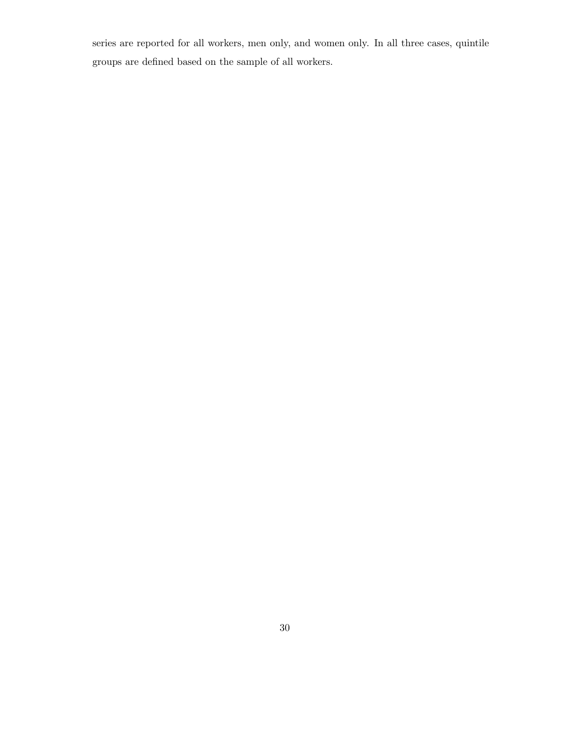series are reported for all workers, men only, and women only. In all three cases, quintile groups are defined based on the sample of all workers.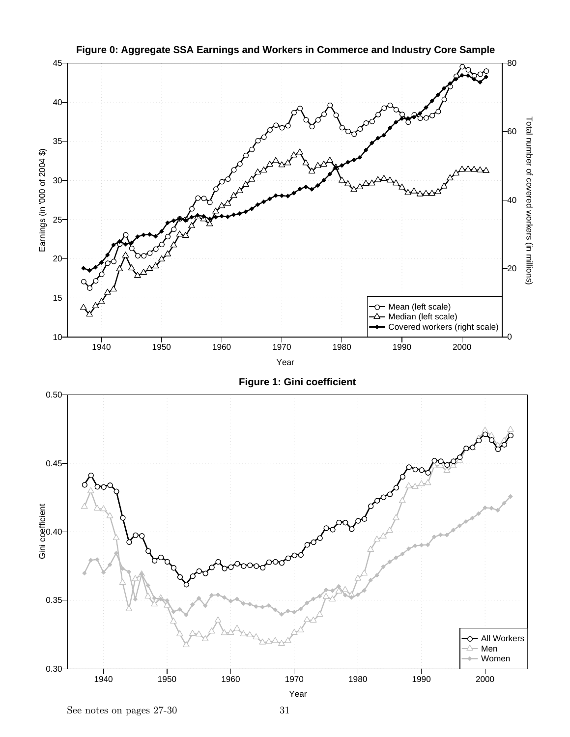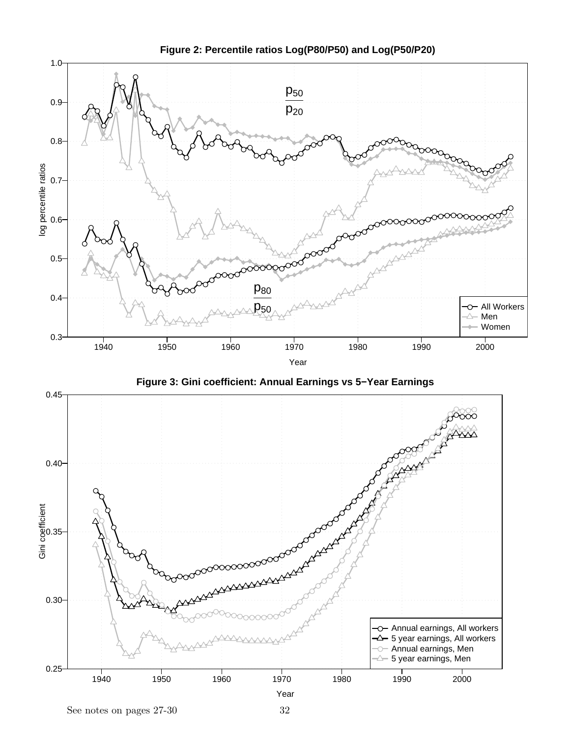

**Figure 2: Percentile ratios Log(P80/P50) and Log(P50/P20)**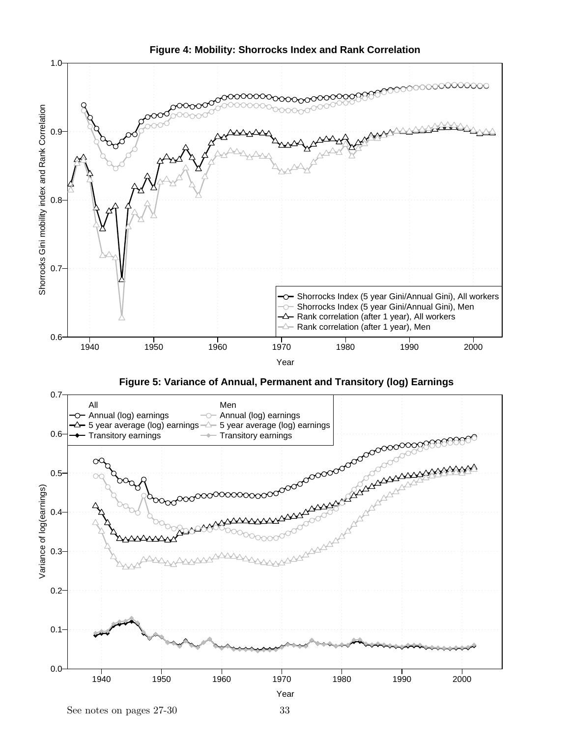

**Figure 4: Mobility: Shorrocks Index and Rank Correlation**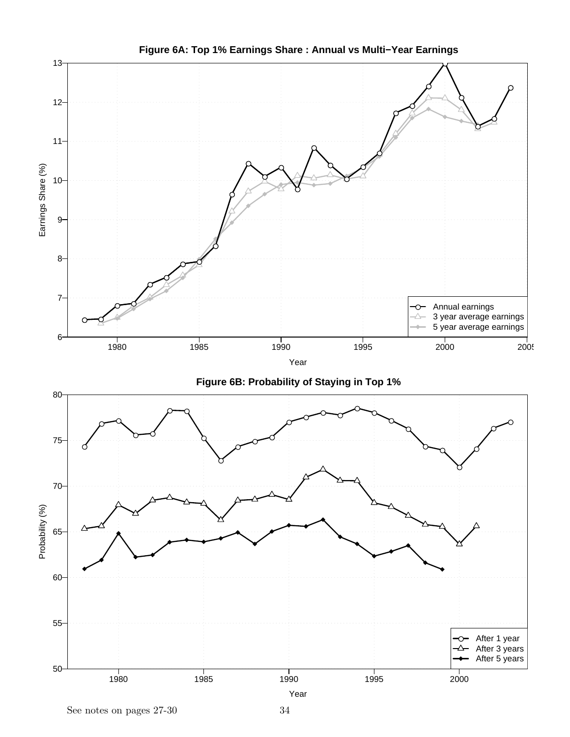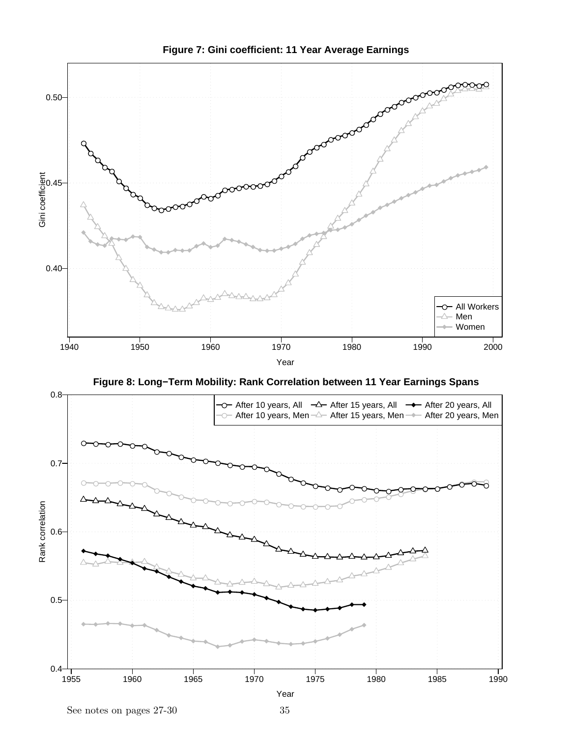

**Figure 7: Gini coefficient: 11 Year Average Earnings**

**Figure 8: Long−Term Mobility: Rank Correlation between 11 Year Earnings Spans**

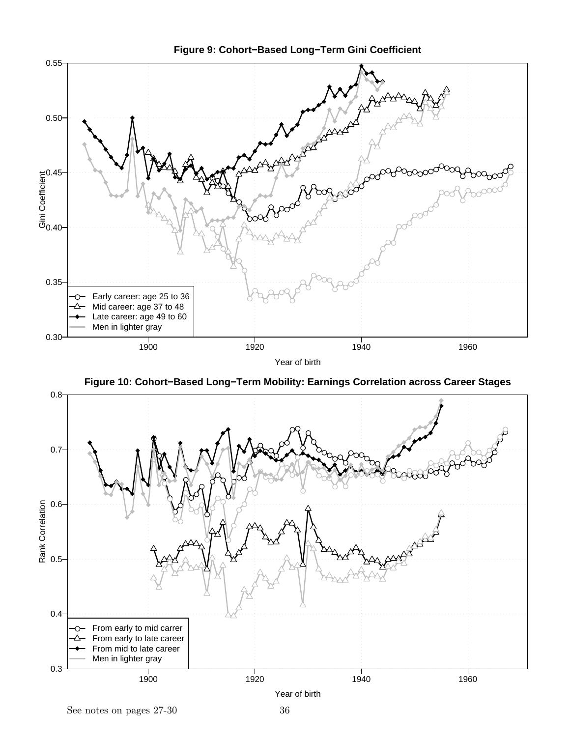

**Figure 10: Cohort−Based Long−Term Mobility: Earnings Correlation across Career Stages**

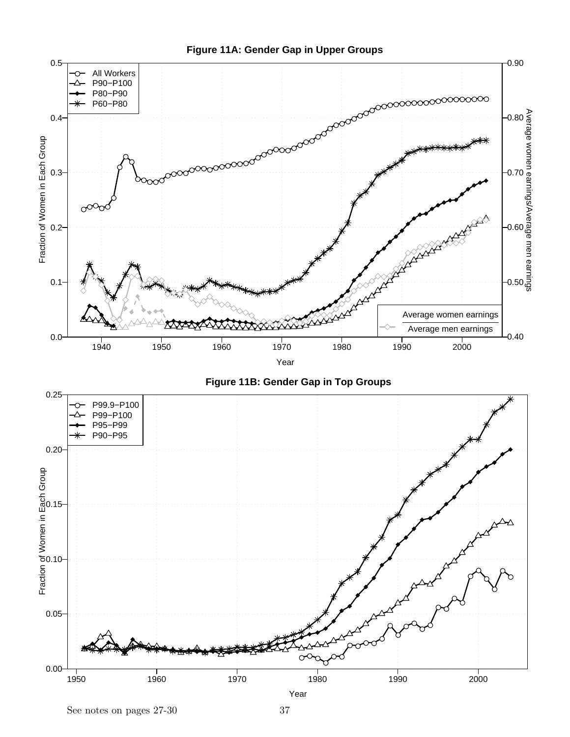





See notes on pages 27-30 37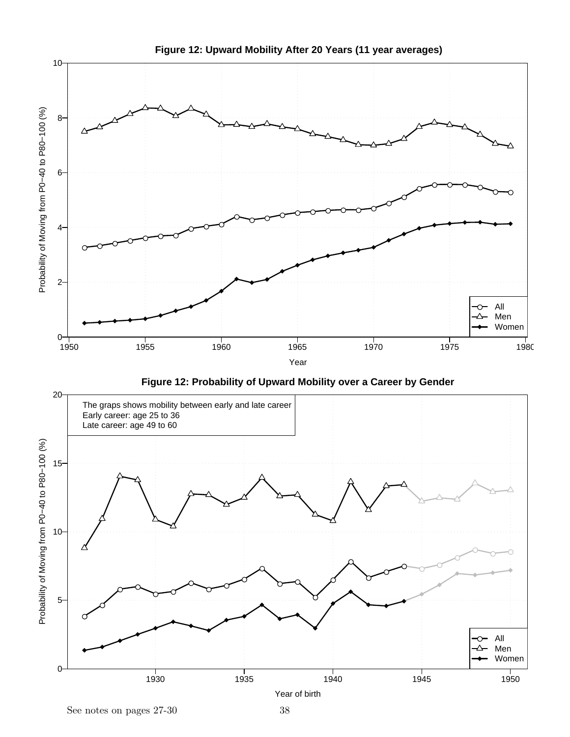

**Figure 12: Upward Mobility After 20 Years (11 year averages)**

Year of birth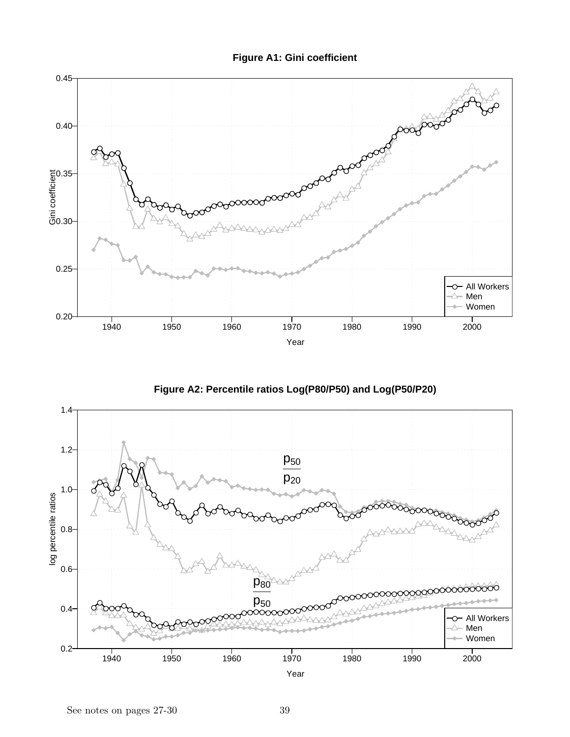



**Figure A2: Percentile ratios Log(P80/P50) and Log(P50/P20)**



Year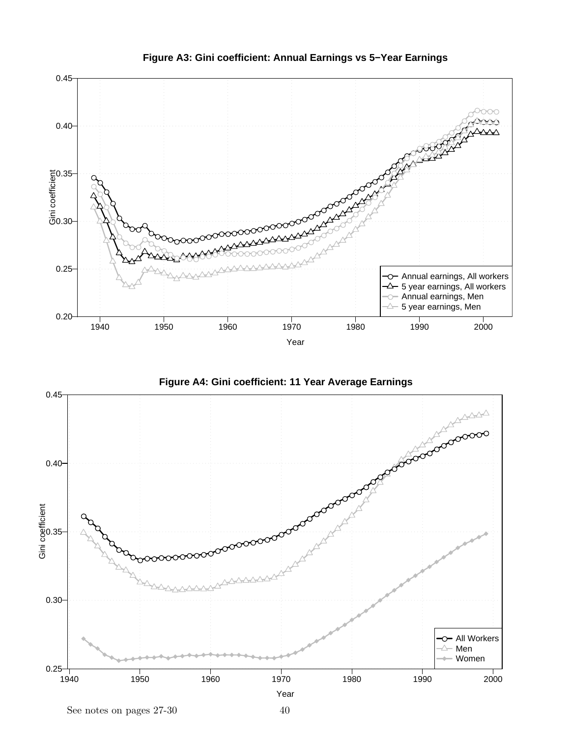

**Figure A3: Gini coefficient: Annual Earnings vs 5−Year Earnings**



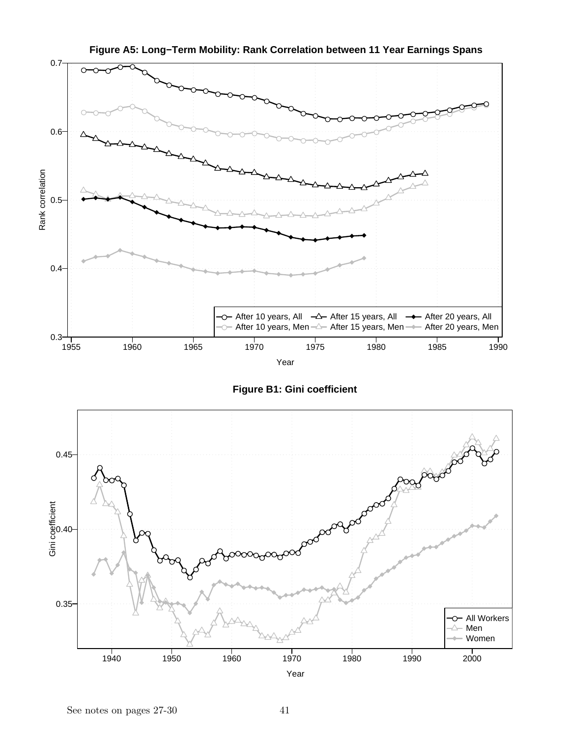

**Figure A5: Long−Term Mobility: Rank Correlation between 11 Year Earnings Spans**

**Figure B1: Gini coefficient**

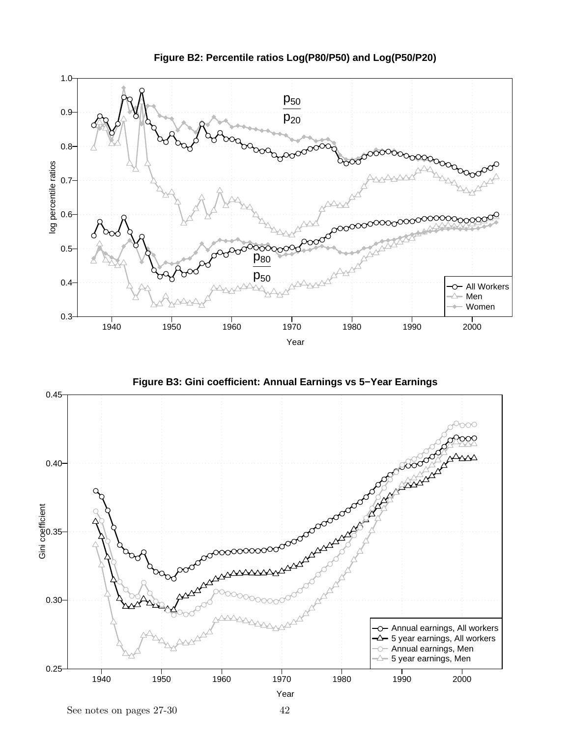

**Figure B2: Percentile ratios Log(P80/P50) and Log(P50/P20)**



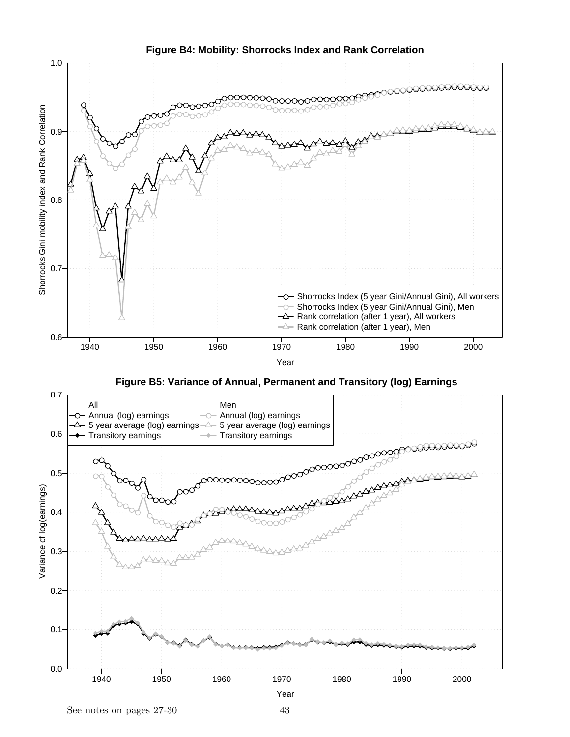

**Figure B4: Mobility: Shorrocks Index and Rank Correlation**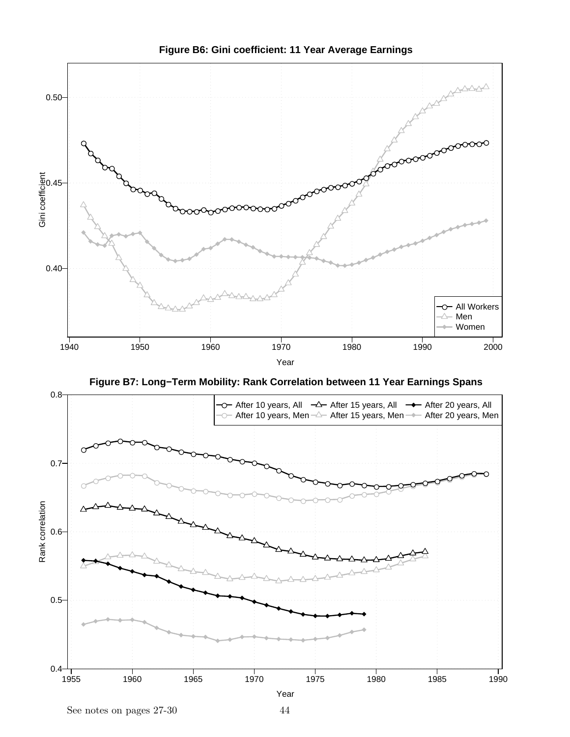





See notes on pages 27-30 44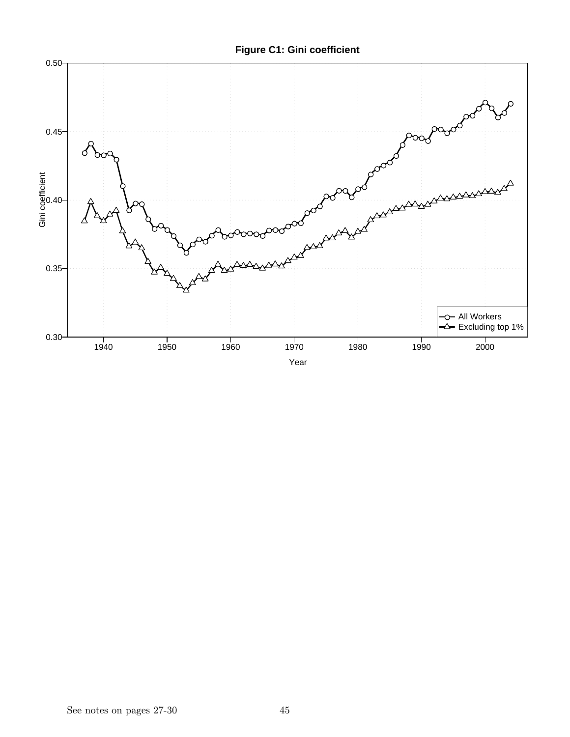**Figure C1: Gini coefficient**

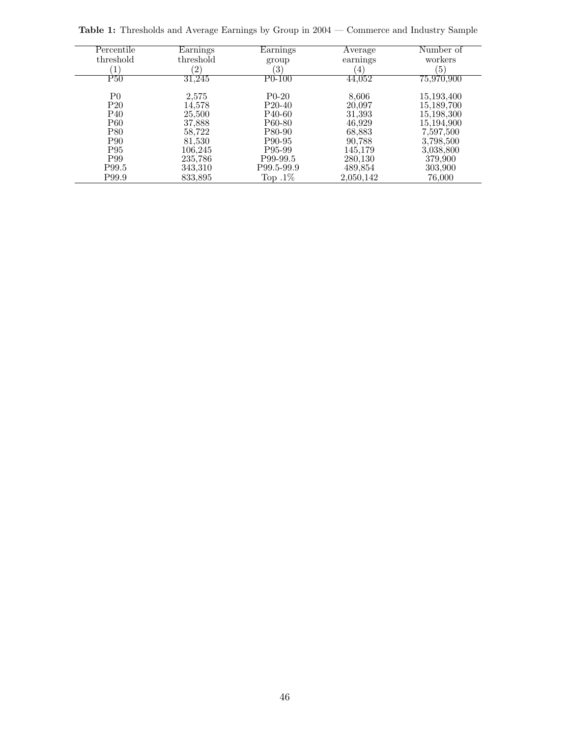Percentile  $\begin{array}{c} \mbox{threshold} \\ \hline \mbox{P50} \end{array}$ Earnings threshold<br> $\frac{(2)}{31,245}$ Earnings  $\begin{array}{c}\n\text{group} \\
(3) \\
\hline\n\text{P0-100}\n\end{array}$ Average earnings Number of workers<br>(5)  $(1)$   $(2)$   $(3)$   $(4)$   $(5)$ 44,052 75,970,900 P0 2,575 P0-20 8,606 15,193,400 P20 14,578 P20-40 20,097 15,189,700 P40 25,500 P40-60 31,393 15,198,300 P60 37,888 P60-80 46,929 15,194,900 P80 58,722 P80-90 68,883 7,597,500 P90 81,530 P90-95 90,788 3,798,500 P95 106,245 P95-99 145,179 3,038,800 P99 235,786 P99-99.5 280,130 379,900 P99.5 343,310 P99.5-99.9 489,854 303,900 2,050,142

Table 1: Thresholds and Average Earnings by Group in 2004 — Commerce and Industry Sample